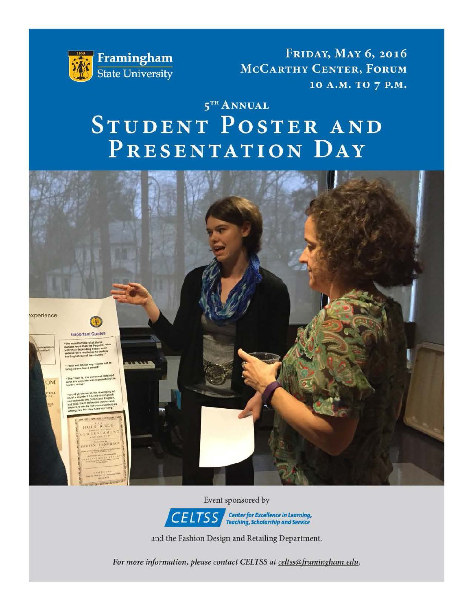

**FRIDAY, MAY 6, 2016** MCCARTHY CENTER, FORUM 10 A.M. TO 7 P.M.

# $5<sup>TH</sup>$  ANNUAL STUDENT POSTER AND PRESENTATION DAY



Event sponsored by



and the Fashion Design and Retailing Department.

*For more information, please contact CELTSS at celtss@framingham.edu.*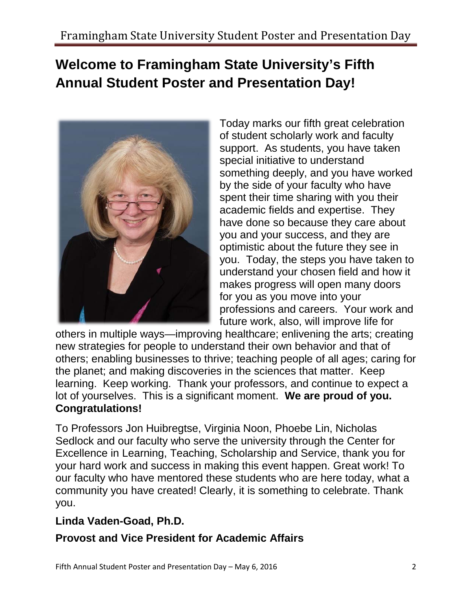# **Annual Student Poster and Presentation Day! Welcome to Framingham State University's Fifth**



 Today marks our fifth great celebration of student scholarly work and faculty support. As students, you have taken special initiative to understand spent their time sharing with you their academic fields and expertise. They you and your success, and they are understand your chosen field and how it professions and careers. Your work and something deeply, and you have worked by the side of your faculty who have have done so because they care about optimistic about the future they see in you. Today, the steps you have taken to makes progress will open many doors for you as you move into your future work, also, will improve life for

 new strategies for people to understand their own behavior and that of others; enabling businesses to thrive; teaching people of all ages; caring for lot of yourselves. This is a significant moment. **We are proud of you. Congratulations!** others in multiple ways—improving healthcare; enlivening the arts; creating the planet; and making discoveries in the sciences that matter. Keep learning. Keep working. Thank your professors, and continue to expect a

 Sedlock and our faculty who serve the university through the Center for To Professors Jon Huibregtse, Virginia Noon, Phoebe Lin, Nicholas Excellence in Learning, Teaching, Scholarship and Service, thank you for your hard work and success in making this event happen. Great work! To our faculty who have mentored these students who are here today, what a community you have created! Clearly, it is something to celebrate. Thank you.

## **Linda Vaden-Goad, Ph.D.**

## **Provost and Vice President for Academic Affairs**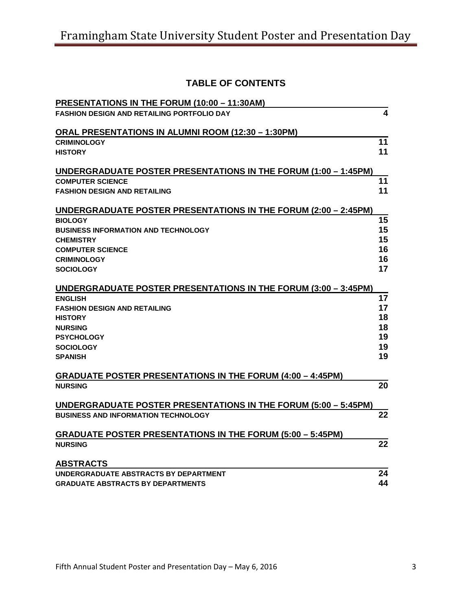## **TABLE OF CONTENTS**

| PRESENTATIONS IN THE FORUM (10:00 - 11:30AM)                                        |    |
|-------------------------------------------------------------------------------------|----|
| <b>FASHION DESIGN AND RETAILING PORTFOLIO DAY</b>                                   | 4  |
| <b>ORAL PRESENTATIONS IN ALUMNI ROOM (12:30 - 1:30PM)</b>                           |    |
| <b>CRIMINOLOGY</b>                                                                  | 11 |
| <b>HISTORY</b>                                                                      | 11 |
|                                                                                     |    |
| UNDERGRADUATE POSTER PRESENTATIONS IN THE FORUM (1:00 - 1:45PM)                     |    |
| <b>COMPUTER SCIENCE</b>                                                             | 11 |
| <b>FASHION DESIGN AND RETAILING</b>                                                 | 11 |
| UNDERGRADUATE POSTER PRESENTATIONS IN THE FORUM (2:00 - 2:45PM)                     |    |
| <b>BIOLOGY</b>                                                                      | 15 |
| <b>BUSINESS INFORMATION AND TECHNOLOGY</b>                                          | 15 |
| <b>CHEMISTRY</b>                                                                    | 15 |
| <b>COMPUTER SCIENCE</b>                                                             | 16 |
| <b>CRIMINOLOGY</b>                                                                  | 16 |
| <b>SOCIOLOGY</b>                                                                    | 17 |
| UNDERGRADUATE POSTER PRESENTATIONS IN THE FORUM (3:00 - 3:45PM)                     |    |
| <b>ENGLISH</b>                                                                      | 17 |
| <b>FASHION DESIGN AND RETAILING</b>                                                 | 17 |
| <b>HISTORY</b>                                                                      | 18 |
| <b>NURSING</b>                                                                      | 18 |
| <b>PSYCHOLOGY</b>                                                                   | 19 |
| <b>SOCIOLOGY</b>                                                                    | 19 |
| <b>SPANISH</b>                                                                      | 19 |
|                                                                                     |    |
| <b>GRADUATE POSTER PRESENTATIONS IN THE FORUM (4:00 - 4:45PM)</b><br><b>NURSING</b> | 20 |
|                                                                                     |    |
| UNDERGRADUATE POSTER PRESENTATIONS IN THE FORUM (5:00 - 5:45PM)                     |    |
| <b>BUSINESS AND INFORMATION TECHNOLOGY</b>                                          | 22 |
| <b>GRADUATE POSTER PRESENTATIONS IN THE FORUM (5:00 - 5:45PM)</b>                   |    |
| <b>NURSING</b>                                                                      | 22 |
|                                                                                     |    |
| <b>ABSTRACTS</b>                                                                    |    |
| UNDERGRADUATE ABSTRACTS BY DEPARTMENT                                               | 24 |
| <b>GRADUATE ABSTRACTS BY DEPARTMENTS</b>                                            | 44 |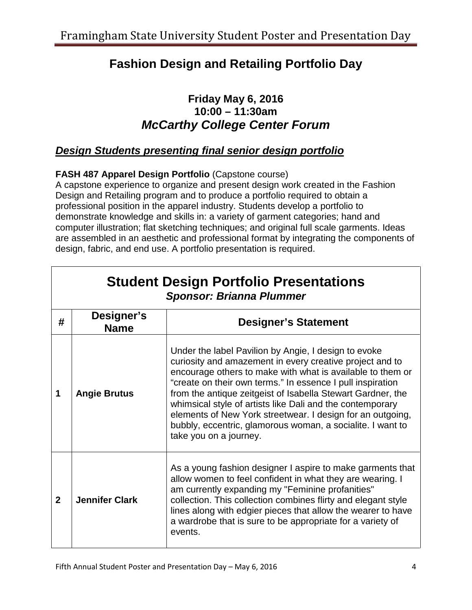## **Fashion Design and Retailing Portfolio Day**

## **10:00 – 11:30am Friday May 6, 2016**  *McCarthy College Center Forum*

## *Design Students presenting final senior design portfolio*

## **FASH 487 Apparel Design Portfolio** (Capstone course)

 are assembled in an aesthetic and professional format by integrating the components of A capstone experience to organize and present design work created in the Fashion Design and Retailing program and to produce a portfolio required to obtain a professional position in the apparel industry. Students develop a portfolio to demonstrate knowledge and skills in: a variety of garment categories; hand and computer illustration; flat sketching techniques; and original full scale garments. Ideas design, fabric, and end use. A portfolio presentation is required.

|                | <b>Student Design Portfolio Presentations</b><br><b>Sponsor: Brianna Plummer</b> |                                                                                                                                                                                                                                                                                                                                                                                                                                                                                                                                |  |  |
|----------------|----------------------------------------------------------------------------------|--------------------------------------------------------------------------------------------------------------------------------------------------------------------------------------------------------------------------------------------------------------------------------------------------------------------------------------------------------------------------------------------------------------------------------------------------------------------------------------------------------------------------------|--|--|
| #              | Designer's<br><b>Name</b>                                                        | <b>Designer's Statement</b>                                                                                                                                                                                                                                                                                                                                                                                                                                                                                                    |  |  |
| 1              | <b>Angie Brutus</b>                                                              | Under the label Pavilion by Angie, I design to evoke<br>curiosity and amazement in every creative project and to<br>encourage others to make with what is available to them or<br>"create on their own terms." In essence I pull inspiration<br>from the antique zeitgeist of Isabella Stewart Gardner, the<br>whimsical style of artists like Dali and the contemporary<br>elements of New York streetwear. I design for an outgoing,<br>bubbly, eccentric, glamorous woman, a socialite. I want to<br>take you on a journey. |  |  |
| $\overline{2}$ | <b>Jennifer Clark</b>                                                            | As a young fashion designer I aspire to make garments that<br>allow women to feel confident in what they are wearing. I<br>am currently expanding my "Feminine profanities"<br>collection. This collection combines flirty and elegant style<br>lines along with edgier pieces that allow the wearer to have<br>a wardrobe that is sure to be appropriate for a variety of<br>events.                                                                                                                                          |  |  |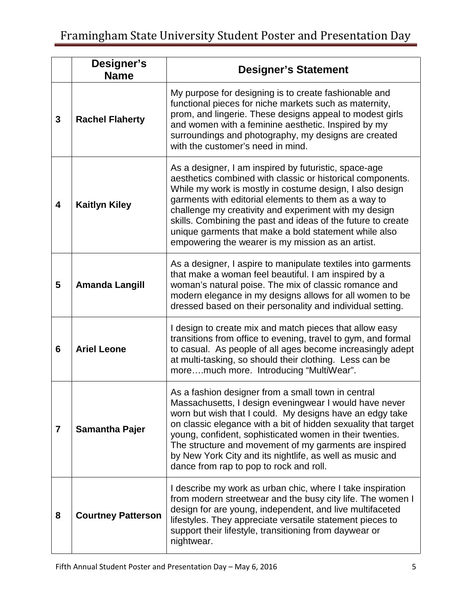|                | Designer's<br><b>Name</b> | <b>Designer's Statement</b>                                                                                                                                                                                                                                                                                                                                                                                                                                                    |  |
|----------------|---------------------------|--------------------------------------------------------------------------------------------------------------------------------------------------------------------------------------------------------------------------------------------------------------------------------------------------------------------------------------------------------------------------------------------------------------------------------------------------------------------------------|--|
| 3              | <b>Rachel Flaherty</b>    | My purpose for designing is to create fashionable and<br>functional pieces for niche markets such as maternity,<br>prom, and lingerie. These designs appeal to modest girls<br>and women with a feminine aesthetic. Inspired by my<br>surroundings and photography, my designs are created<br>with the customer's need in mind.                                                                                                                                                |  |
| 4              | <b>Kaitlyn Kiley</b>      | As a designer, I am inspired by futuristic, space-age<br>aesthetics combined with classic or historical components.<br>While my work is mostly in costume design, I also design<br>garments with editorial elements to them as a way to<br>challenge my creativity and experiment with my design<br>skills. Combining the past and ideas of the future to create<br>unique garments that make a bold statement while also<br>empowering the wearer is my mission as an artist. |  |
| 5              | <b>Amanda Langill</b>     | As a designer, I aspire to manipulate textiles into garments<br>that make a woman feel beautiful. I am inspired by a<br>woman's natural poise. The mix of classic romance and<br>modern elegance in my designs allows for all women to be<br>dressed based on their personality and individual setting.                                                                                                                                                                        |  |
| 6              | <b>Ariel Leone</b>        | I design to create mix and match pieces that allow easy<br>transitions from office to evening, travel to gym, and formal<br>to casual. As people of all ages become increasingly adept<br>at multi-tasking, so should their clothing. Less can be<br>moremuch more. Introducing "MultiWear".                                                                                                                                                                                   |  |
| $\overline{7}$ | <b>Samantha Pajer</b>     | As a fashion designer from a small town in central<br>Massachusetts, I design eveningwear I would have never<br>worn but wish that I could. My designs have an edgy take<br>on classic elegance with a bit of hidden sexuality that target<br>young, confident, sophisticated women in their twenties.<br>The structure and movement of my garments are inspired<br>by New York City and its nightlife, as well as music and<br>dance from rap to pop to rock and roll.        |  |
| 8              | <b>Courtney Patterson</b> | I describe my work as urban chic, where I take inspiration<br>from modern streetwear and the busy city life. The women I<br>design for are young, independent, and live multifaceted<br>lifestyles. They appreciate versatile statement pieces to<br>support their lifestyle, transitioning from daywear or<br>nightwear.                                                                                                                                                      |  |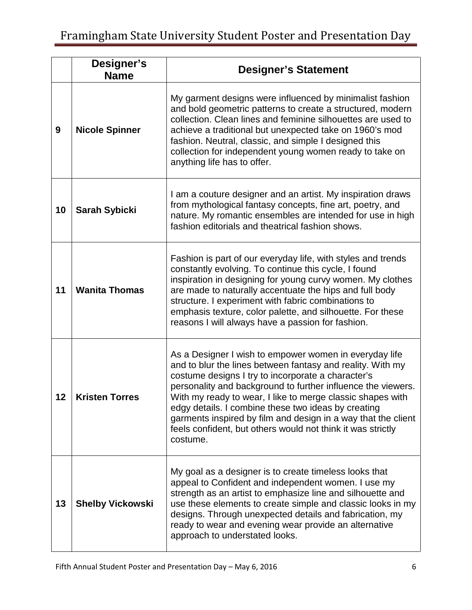|    | Designer's<br><b>Name</b> | <b>Designer's Statement</b>                                                                                                                                                                                                                                                                                                                                                                                                                                                                                 |  |
|----|---------------------------|-------------------------------------------------------------------------------------------------------------------------------------------------------------------------------------------------------------------------------------------------------------------------------------------------------------------------------------------------------------------------------------------------------------------------------------------------------------------------------------------------------------|--|
| 9  | <b>Nicole Spinner</b>     | My garment designs were influenced by minimalist fashion<br>and bold geometric patterns to create a structured, modern<br>collection. Clean lines and feminine silhouettes are used to<br>achieve a traditional but unexpected take on 1960's mod<br>fashion. Neutral, classic, and simple I designed this<br>collection for independent young women ready to take on<br>anything life has to offer.                                                                                                        |  |
| 10 | <b>Sarah Sybicki</b>      | I am a couture designer and an artist. My inspiration draws<br>from mythological fantasy concepts, fine art, poetry, and<br>nature. My romantic ensembles are intended for use in high<br>fashion editorials and theatrical fashion shows.                                                                                                                                                                                                                                                                  |  |
| 11 | <b>Wanita Thomas</b>      | Fashion is part of our everyday life, with styles and trends<br>constantly evolving. To continue this cycle, I found<br>inspiration in designing for young curvy women. My clothes<br>are made to naturally accentuate the hips and full body<br>structure. I experiment with fabric combinations to<br>emphasis texture, color palette, and silhouette. For these<br>reasons I will always have a passion for fashion.                                                                                     |  |
| 12 | <b>Kristen Torres</b>     | As a Designer I wish to empower women in everyday life<br>and to blur the lines between fantasy and reality. With my<br>costume designs I try to incorporate a character's<br>personality and background to further influence the viewers.<br>With my ready to wear, I like to merge classic shapes with<br>edgy details. I combine these two ideas by creating<br>garments inspired by film and design in a way that the client<br>feels confident, but others would not think it was strictly<br>costume. |  |
| 13 | <b>Shelby Vickowski</b>   | My goal as a designer is to create timeless looks that<br>appeal to Confident and independent women. I use my<br>strength as an artist to emphasize line and silhouette and<br>use these elements to create simple and classic looks in my<br>designs. Through unexpected details and fabrication, my<br>ready to wear and evening wear provide an alternative<br>approach to understated looks.                                                                                                            |  |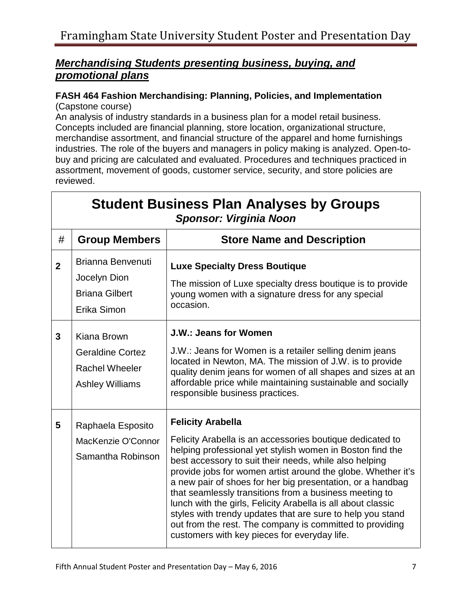## *promotional plans Merchandising Students presenting business, buying, and*

### **FASH 464 Fashion Merchandising: Planning, Policies, and Implementation**  (Capstone course)

An analysis of industry standards in a business plan for a model retail business. Concepts included are financial planning, store location, organizational structure, merchandise assortment, and financial structure of the apparel and home furnishings industries. The role of the buyers and managers in policy making is analyzed. Open-tobuy and pricing are calculated and evaluated. Procedures and techniques practiced in assortment, movement of goods, customer service, security, and store policies are reviewed.

|                | <b>Student Business Plan Analyses by Groups</b><br><b>Sponsor: Virginia Noon</b>          |                                                                                                                                                                                                                                                                                                                                                                                                                                                                                                                                                                                                                                                |  |
|----------------|-------------------------------------------------------------------------------------------|------------------------------------------------------------------------------------------------------------------------------------------------------------------------------------------------------------------------------------------------------------------------------------------------------------------------------------------------------------------------------------------------------------------------------------------------------------------------------------------------------------------------------------------------------------------------------------------------------------------------------------------------|--|
| #              | <b>Group Members</b>                                                                      | <b>Store Name and Description</b>                                                                                                                                                                                                                                                                                                                                                                                                                                                                                                                                                                                                              |  |
| $\overline{2}$ | <b>Brianna Benvenuti</b><br>Jocelyn Dion<br><b>Briana Gilbert</b><br>Erika Simon          | <b>Luxe Specialty Dress Boutique</b><br>The mission of Luxe specialty dress boutique is to provide<br>young women with a signature dress for any special<br>occasion.                                                                                                                                                                                                                                                                                                                                                                                                                                                                          |  |
| $\overline{3}$ | Kiana Brown<br><b>Geraldine Cortez</b><br><b>Rachel Wheeler</b><br><b>Ashley Williams</b> | <b>J.W.: Jeans for Women</b><br>J.W.: Jeans for Women is a retailer selling denim jeans<br>located in Newton, MA. The mission of J.W. is to provide<br>quality denim jeans for women of all shapes and sizes at an<br>affordable price while maintaining sustainable and socially<br>responsible business practices.                                                                                                                                                                                                                                                                                                                           |  |
| 5              | Raphaela Esposito<br>MacKenzie O'Connor<br>Samantha Robinson                              | <b>Felicity Arabella</b><br>Felicity Arabella is an accessories boutique dedicated to<br>helping professional yet stylish women in Boston find the<br>best accessory to suit their needs, while also helping<br>provide jobs for women artist around the globe. Whether it's<br>a new pair of shoes for her big presentation, or a handbag<br>that seamlessly transitions from a business meeting to<br>lunch with the girls, Felicity Arabella is all about classic<br>styles with trendy updates that are sure to help you stand<br>out from the rest. The company is committed to providing<br>customers with key pieces for everyday life. |  |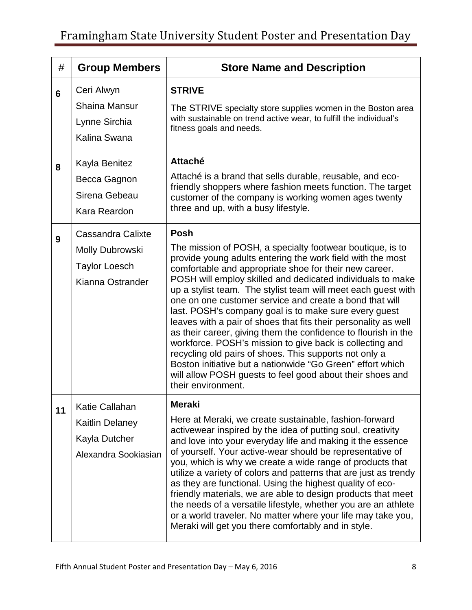| #  | <b>Group Members</b>                                                                     | <b>Store Name and Description</b>                                                                                                                                                                                                                                                                                                                                                                                                                                                                                                                                                                                                                                                                                                                                                                                                                        |
|----|------------------------------------------------------------------------------------------|----------------------------------------------------------------------------------------------------------------------------------------------------------------------------------------------------------------------------------------------------------------------------------------------------------------------------------------------------------------------------------------------------------------------------------------------------------------------------------------------------------------------------------------------------------------------------------------------------------------------------------------------------------------------------------------------------------------------------------------------------------------------------------------------------------------------------------------------------------|
| 6  | Ceri Alwyn<br><b>Shaina Mansur</b><br>Lynne Sirchia<br>Kalina Swana                      | <b>STRIVE</b><br>The STRIVE specialty store supplies women in the Boston area<br>with sustainable on trend active wear, to fulfill the individual's<br>fitness goals and needs.                                                                                                                                                                                                                                                                                                                                                                                                                                                                                                                                                                                                                                                                          |
| 8  | Kayla Benitez<br>Becca Gagnon<br>Sirena Gebeau<br>Kara Reardon                           | <b>Attaché</b><br>Attaché is a brand that sells durable, reusable, and eco-<br>friendly shoppers where fashion meets function. The target<br>customer of the company is working women ages twenty<br>three and up, with a busy lifestyle.                                                                                                                                                                                                                                                                                                                                                                                                                                                                                                                                                                                                                |
| 9  | Cassandra Calixte<br><b>Molly Dubrowski</b><br><b>Taylor Loesch</b><br>Kianna Ostrander  | Posh<br>The mission of POSH, a specialty footwear boutique, is to<br>provide young adults entering the work field with the most<br>comfortable and appropriate shoe for their new career.<br>POSH will employ skilled and dedicated individuals to make<br>up a stylist team. The stylist team will meet each guest with<br>one on one customer service and create a bond that will<br>last. POSH's company goal is to make sure every guest<br>leaves with a pair of shoes that fits their personality as well<br>as their career, giving them the confidence to flourish in the<br>workforce. POSH's mission to give back is collecting and<br>recycling old pairs of shoes. This supports not only a<br>Boston initiative but a nationwide "Go Green" effort which<br>will allow POSH guests to feel good about their shoes and<br>their environment. |
| 11 | <b>Katie Callahan</b><br><b>Kaitlin Delaney</b><br>Kayla Dutcher<br>Alexandra Sookiasian | <b>Meraki</b><br>Here at Meraki, we create sustainable, fashion-forward<br>activewear inspired by the idea of putting soul, creativity<br>and love into your everyday life and making it the essence<br>of yourself. Your active-wear should be representative of<br>you, which is why we create a wide range of products that<br>utilize a variety of colors and patterns that are just as trendy<br>as they are functional. Using the highest quality of eco-<br>friendly materials, we are able to design products that meet<br>the needs of a versatile lifestyle, whether you are an athlete<br>or a world traveler. No matter where your life may take you,<br>Meraki will get you there comfortably and in style.                                                                                                                                 |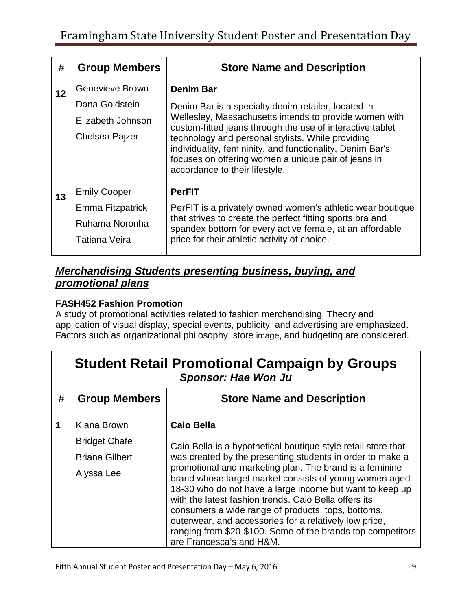| #  | <b>Group Members</b> | <b>Store Name and Description</b>                                                                                                                                                                       |
|----|----------------------|---------------------------------------------------------------------------------------------------------------------------------------------------------------------------------------------------------|
| 12 | Genevieve Brown      | <b>Denim Bar</b>                                                                                                                                                                                        |
|    | Dana Goldstein       | Denim Bar is a specialty denim retailer, located in                                                                                                                                                     |
|    | Elizabeth Johnson    | Wellesley, Massachusetts intends to provide women with<br>custom-fitted jeans through the use of interactive tablet                                                                                     |
|    | Chelsea Pajzer       | technology and personal stylists. While providing<br>individuality, femininity, and functionality, Denim Bar's<br>focuses on offering women a unique pair of jeans in<br>accordance to their lifestyle. |
| 13 | <b>Emily Cooper</b>  | <b>PerFIT</b>                                                                                                                                                                                           |
|    | Emma Fitzpatrick     | PerFIT is a privately owned women's athletic wear boutique                                                                                                                                              |
|    | Ruhama Noronha       | that strives to create the perfect fitting sports bra and<br>spandex bottom for every active female, at an affordable                                                                                   |
|    | Tatiana Veira        | price for their athletic activity of choice.                                                                                                                                                            |
|    |                      |                                                                                                                                                                                                         |

## *promotional plans Merchandising Students presenting business, buying, and*

### **FASH452 Fashion Promotion**

A study of promotional activities related to fashion merchandising. Theory and application of visual display, special events, publicity, and advertising are emphasized. Factors such as organizational philosophy, store image, and budgeting are considered.

|   | <b>Student Retail Promotional Campaign by Groups</b><br><b>Sponsor: Hae Won Ju</b> |                                                                                                                                                                                                                                                                                                                                                                                                                                                   |  |  |
|---|------------------------------------------------------------------------------------|---------------------------------------------------------------------------------------------------------------------------------------------------------------------------------------------------------------------------------------------------------------------------------------------------------------------------------------------------------------------------------------------------------------------------------------------------|--|--|
| # | <b>Group Members</b>                                                               | <b>Store Name and Description</b>                                                                                                                                                                                                                                                                                                                                                                                                                 |  |  |
| 1 | Kiana Brown                                                                        | <b>Caio Bella</b>                                                                                                                                                                                                                                                                                                                                                                                                                                 |  |  |
|   | <b>Bridget Chafe</b>                                                               | Caio Bella is a hypothetical boutique style retail store that                                                                                                                                                                                                                                                                                                                                                                                     |  |  |
|   | <b>Briana Gilbert</b>                                                              | was created by the presenting students in order to make a                                                                                                                                                                                                                                                                                                                                                                                         |  |  |
|   | Alyssa Lee                                                                         | promotional and marketing plan. The brand is a feminine<br>brand whose target market consists of young women aged<br>18-30 who do not have a large income but want to keep up<br>with the latest fashion trends. Caio Bella offers its<br>consumers a wide range of products, tops, bottoms,<br>outerwear, and accessories for a relatively low price,<br>ranging from \$20-\$100. Some of the brands top competitors<br>are Francesca's and H&M. |  |  |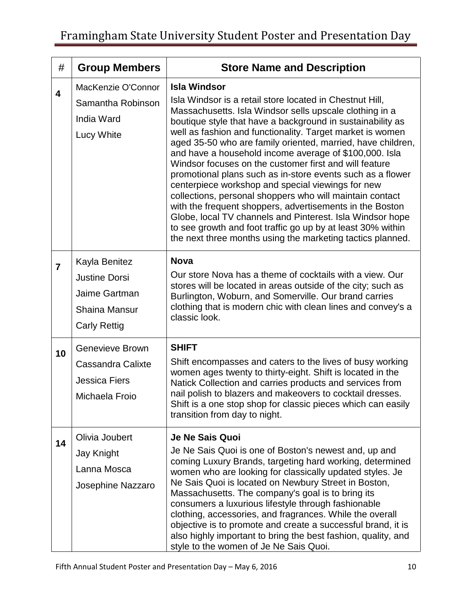| #                       | <b>Group Members</b>                                                                                  | <b>Store Name and Description</b>                                                                                                                                                                                                                                                                                                                                                                                                                                                                                                                                                                                                                                                                                                                                                                                                                                                             |
|-------------------------|-------------------------------------------------------------------------------------------------------|-----------------------------------------------------------------------------------------------------------------------------------------------------------------------------------------------------------------------------------------------------------------------------------------------------------------------------------------------------------------------------------------------------------------------------------------------------------------------------------------------------------------------------------------------------------------------------------------------------------------------------------------------------------------------------------------------------------------------------------------------------------------------------------------------------------------------------------------------------------------------------------------------|
| $\overline{\mathbf{4}}$ | MacKenzie O'Connor<br>Samantha Robinson<br><b>India Ward</b><br>Lucy White                            | <b>Isla Windsor</b><br>Isla Windsor is a retail store located in Chestnut Hill,<br>Massachusetts. Isla Windsor sells upscale clothing in a<br>boutique style that have a background in sustainability as<br>well as fashion and functionality. Target market is women<br>aged 35-50 who are family oriented, married, have children,<br>and have a household income average of \$100,000. Isla<br>Windsor focuses on the customer first and will feature<br>promotional plans such as in-store events such as a flower<br>centerpiece workshop and special viewings for new<br>collections, personal shoppers who will maintain contact<br>with the frequent shoppers, advertisements in the Boston<br>Globe, local TV channels and Pinterest. Isla Windsor hope<br>to see growth and foot traffic go up by at least 30% within<br>the next three months using the marketing tactics planned. |
| $\overline{7}$          | Kayla Benitez<br><b>Justine Dorsi</b><br>Jaime Gartman<br><b>Shaina Mansur</b><br><b>Carly Rettig</b> | <b>Nova</b><br>Our store Nova has a theme of cocktails with a view. Our<br>stores will be located in areas outside of the city; such as<br>Burlington, Woburn, and Somerville. Our brand carries<br>clothing that is modern chic with clean lines and convey's a<br>classic look.                                                                                                                                                                                                                                                                                                                                                                                                                                                                                                                                                                                                             |
| 10                      | Genevieve Brown<br>Cassandra Calixte<br><b>Jessica Fiers</b><br>Michaela Froio                        | <b>SHIFT</b><br>Shift encompasses and caters to the lives of busy working<br>women ages twenty to thirty-eight. Shift is located in the<br>Natick Collection and carries products and services from<br>nail polish to blazers and makeovers to cocktail dresses.<br>Shift is a one stop shop for classic pieces which can easily<br>transition from day to night.                                                                                                                                                                                                                                                                                                                                                                                                                                                                                                                             |
| 14                      | Olivia Joubert<br>Jay Knight<br>Lanna Mosca<br>Josephine Nazzaro                                      | Je Ne Sais Quoi<br>Je Ne Sais Quoi is one of Boston's newest and, up and<br>coming Luxury Brands, targeting hard working, determined<br>women who are looking for classically updated styles. Je<br>Ne Sais Quoi is located on Newbury Street in Boston,<br>Massachusetts. The company's goal is to bring its<br>consumers a luxurious lifestyle through fashionable<br>clothing, accessories, and fragrances. While the overall<br>objective is to promote and create a successful brand, it is<br>also highly important to bring the best fashion, quality, and<br>style to the women of Je Ne Sais Quoi.                                                                                                                                                                                                                                                                                   |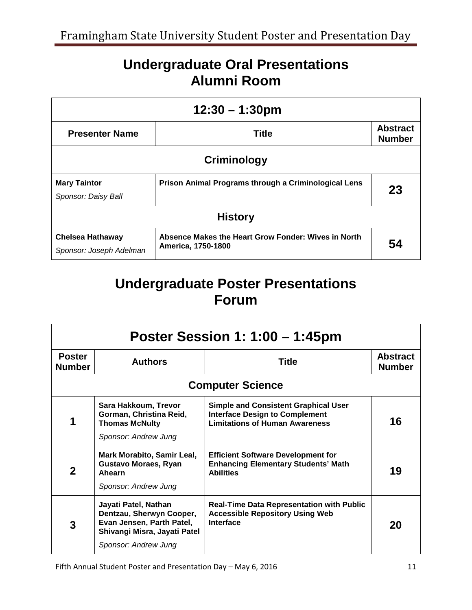# **Undergraduate Oral Presentations Alumni Room**

| $12:30 - 1:30 \text{pm}$                                                                           |                                                                           |                                  |  |
|----------------------------------------------------------------------------------------------------|---------------------------------------------------------------------------|----------------------------------|--|
| <b>Title</b><br><b>Presenter Name</b>                                                              |                                                                           | <b>Abstract</b><br><b>Number</b> |  |
| Criminology                                                                                        |                                                                           |                                  |  |
| <b>Mary Taintor</b><br>Prison Animal Programs through a Criminological Lens<br>Sponsor: Daisy Ball |                                                                           | 23                               |  |
| <b>History</b>                                                                                     |                                                                           |                                  |  |
| <b>Chelsea Hathaway</b><br>Sponsor: Joseph Adelman                                                 | Absence Makes the Heart Grow Fonder: Wives in North<br>America, 1750-1800 | 54                               |  |

# **Undergraduate Poster Presentations Forum**

| Poster Session 1: 1:00 – 1:45pm |                                                                                                                                       |                                                                                                                               |                                  |
|---------------------------------|---------------------------------------------------------------------------------------------------------------------------------------|-------------------------------------------------------------------------------------------------------------------------------|----------------------------------|
| <b>Poster</b><br><b>Number</b>  | <b>Authors</b>                                                                                                                        | <b>Title</b>                                                                                                                  | <b>Abstract</b><br><b>Number</b> |
|                                 |                                                                                                                                       | <b>Computer Science</b>                                                                                                       |                                  |
| 1                               | Sara Hakkoum, Trevor<br>Gorman, Christina Reid,<br><b>Thomas McNulty</b><br>Sponsor: Andrew Jung                                      | <b>Simple and Consistent Graphical User</b><br><b>Interface Design to Complement</b><br><b>Limitations of Human Awareness</b> | 16                               |
| $\mathbf 2$                     | Mark Morabito, Samir Leal,<br><b>Gustavo Moraes, Ryan</b><br><b>Ahearn</b><br>Sponsor: Andrew Jung                                    | <b>Efficient Software Development for</b><br><b>Enhancing Elementary Students' Math</b><br><b>Abilities</b>                   | 19                               |
| 3                               | Jayati Patel, Nathan<br>Dentzau, Sherwyn Cooper,<br>Evan Jensen, Parth Patel,<br>Shivangi Misra, Jayati Patel<br>Sponsor: Andrew Jung | <b>Real-Time Data Representation with Public</b><br><b>Accessible Repository Using Web</b><br>Interface                       | 20                               |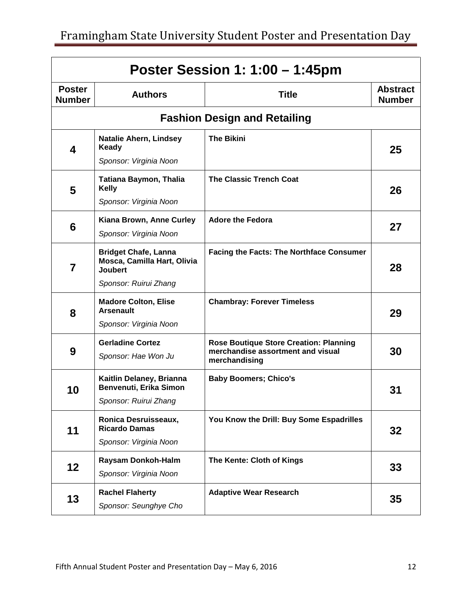| Poster Session 1: 1:00 - 1:45pm |                                                                              |                                                                                                     |                                  |
|---------------------------------|------------------------------------------------------------------------------|-----------------------------------------------------------------------------------------------------|----------------------------------|
| <b>Poster</b><br><b>Number</b>  | <b>Authors</b>                                                               | <b>Title</b>                                                                                        | <b>Abstract</b><br><b>Number</b> |
|                                 |                                                                              | <b>Fashion Design and Retailing</b>                                                                 |                                  |
| 4                               | <b>Natalie Ahern, Lindsey</b><br>Keady                                       | <b>The Bikini</b>                                                                                   | 25                               |
|                                 | Sponsor: Virginia Noon                                                       |                                                                                                     |                                  |
| 5                               | <b>Tatiana Baymon, Thalia</b><br><b>Kelly</b>                                | <b>The Classic Trench Coat</b>                                                                      | 26                               |
|                                 | Sponsor: Virginia Noon                                                       |                                                                                                     |                                  |
| 6                               | Kiana Brown, Anne Curley<br>Sponsor: Virginia Noon                           | <b>Adore the Fedora</b>                                                                             | 27                               |
| $\overline{7}$                  | <b>Bridget Chafe, Lanna</b><br>Mosca, Camilla Hart, Olivia<br><b>Joubert</b> | <b>Facing the Facts: The Northface Consumer</b>                                                     | 28                               |
|                                 | Sponsor: Ruirui Zhang                                                        |                                                                                                     |                                  |
| 8                               | <b>Madore Colton, Elise</b><br><b>Arsenault</b>                              | <b>Chambray: Forever Timeless</b>                                                                   | 29                               |
|                                 | Sponsor: Virginia Noon                                                       |                                                                                                     |                                  |
| 9                               | <b>Gerladine Cortez</b><br>Sponsor: Hae Won Ju                               | <b>Rose Boutique Store Creation: Planning</b><br>merchandise assortment and visual<br>merchandising | 30                               |
| 10                              | Kaitlin Delaney, Brianna<br>Benvenuti, Erika Simon                           | <b>Baby Boomers; Chico's</b>                                                                        | 31                               |
|                                 | Sponsor: Ruirui Zhang                                                        |                                                                                                     |                                  |
| 11                              | Ronica Desruisseaux,<br><b>Ricardo Damas</b>                                 | You Know the Drill: Buy Some Espadrilles                                                            | 32                               |
|                                 | Sponsor: Virginia Noon                                                       |                                                                                                     |                                  |
| 12                              | Raysam Donkoh-Halm                                                           | The Kente: Cloth of Kings                                                                           | 33                               |
|                                 | Sponsor: Virginia Noon                                                       |                                                                                                     |                                  |
| 13                              | <b>Rachel Flaherty</b><br>Sponsor: Seunghye Cho                              | <b>Adaptive Wear Research</b>                                                                       | 35                               |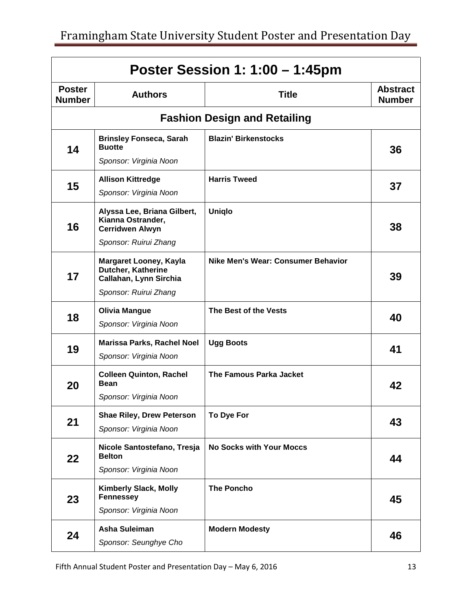| Poster Session 1: 1:00 - 1:45pm |                                                                               |                                     |                                  |
|---------------------------------|-------------------------------------------------------------------------------|-------------------------------------|----------------------------------|
| <b>Poster</b><br><b>Number</b>  | <b>Authors</b>                                                                | <b>Title</b>                        | <b>Abstract</b><br><b>Number</b> |
|                                 |                                                                               | <b>Fashion Design and Retailing</b> |                                  |
| 14                              | <b>Brinsley Fonseca, Sarah</b><br><b>Buotte</b>                               | <b>Blazin' Birkenstocks</b>         | 36                               |
|                                 | Sponsor: Virginia Noon                                                        |                                     |                                  |
|                                 | <b>Allison Kittredge</b>                                                      | <b>Harris Tweed</b>                 |                                  |
| 15                              | Sponsor: Virginia Noon                                                        |                                     | 37                               |
| 16                              | Alyssa Lee, Briana Gilbert,<br>Kianna Ostrander,<br><b>Cerridwen Alwyn</b>    | <b>Uniglo</b>                       | 38                               |
|                                 | Sponsor: Ruirui Zhang                                                         |                                     |                                  |
| 17                              | <b>Margaret Looney, Kayla</b><br>Dutcher, Katherine<br>Callahan, Lynn Sirchia | Nike Men's Wear: Consumer Behavior  | 39                               |
|                                 | Sponsor: Ruirui Zhang                                                         |                                     |                                  |
| 18                              | <b>Olivia Mangue</b>                                                          | The Best of the Vests               | 40                               |
|                                 | Sponsor: Virginia Noon                                                        |                                     |                                  |
| 19                              | Marissa Parks, Rachel Noel                                                    | <b>Ugg Boots</b>                    | 41                               |
|                                 | Sponsor: Virginia Noon                                                        |                                     |                                  |
| 20                              | <b>Colleen Quinton, Rachel</b><br><b>Bean</b>                                 | The Famous Parka Jacket             | 42                               |
|                                 | Sponsor: Virginia Noon                                                        |                                     |                                  |
| 21                              | <b>Shae Riley, Drew Peterson</b>                                              | To Dye For                          | 43                               |
|                                 | Sponsor: Virginia Noon                                                        |                                     |                                  |
| 22                              | Nicole Santostefano, Tresja<br><b>Belton</b>                                  | <b>No Socks with Your Moccs</b>     | 44                               |
|                                 | Sponsor: Virginia Noon                                                        |                                     |                                  |
| 23                              | <b>Kimberly Slack, Molly</b><br><b>Fennessey</b>                              | <b>The Poncho</b>                   | 45                               |
|                                 | Sponsor: Virginia Noon                                                        |                                     |                                  |
| 24                              | <b>Asha Suleiman</b>                                                          | <b>Modern Modesty</b>               | 46                               |
|                                 | Sponsor: Seunghye Cho                                                         |                                     |                                  |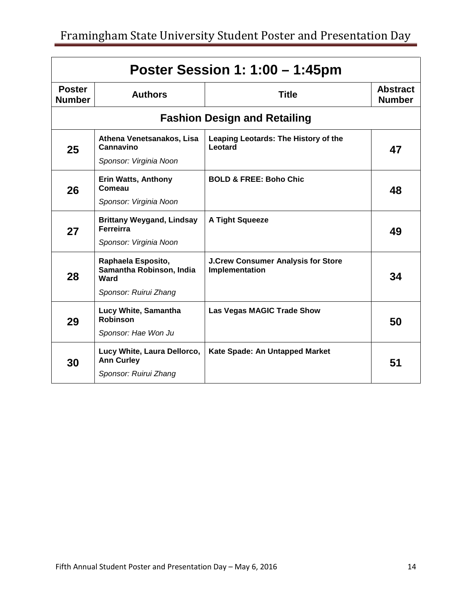| Poster Session 1: 1:00 – 1:45pm |                                                                                 |                                                             |                                  |
|---------------------------------|---------------------------------------------------------------------------------|-------------------------------------------------------------|----------------------------------|
| <b>Poster</b><br><b>Number</b>  | <b>Authors</b>                                                                  | <b>Title</b>                                                | <b>Abstract</b><br><b>Number</b> |
|                                 |                                                                                 | <b>Fashion Design and Retailing</b>                         |                                  |
| 25                              | Athena Venetsanakos, Lisa<br>Cannavino<br>Sponsor: Virginia Noon                | Leaping Leotards: The History of the<br>Leotard             | 47                               |
| 26                              | <b>Erin Watts, Anthony</b><br>Comeau<br>Sponsor: Virginia Noon                  | <b>BOLD &amp; FREE: Boho Chic</b>                           | 48                               |
| 27                              | <b>Brittany Weygand, Lindsay</b><br><b>Ferreirra</b><br>Sponsor: Virginia Noon  | <b>A Tight Squeeze</b>                                      | 49                               |
| 28                              | Raphaela Esposito,<br>Samantha Robinson, India<br>Ward<br>Sponsor: Ruirui Zhang | <b>J.Crew Consumer Analysis for Store</b><br>Implementation | 34                               |
| 29                              | Lucy White, Samantha<br><b>Robinson</b><br>Sponsor: Hae Won Ju                  | <b>Las Vegas MAGIC Trade Show</b>                           | 50                               |
| 30                              | Lucy White, Laura Dellorco,<br><b>Ann Curley</b><br>Sponsor: Ruirui Zhang       | Kate Spade: An Untapped Market                              | 51                               |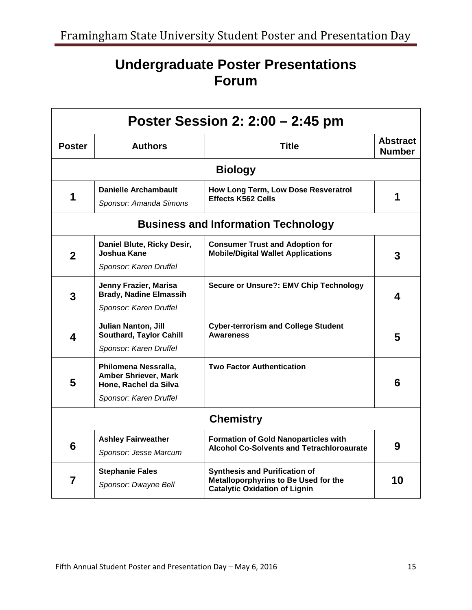# **Undergraduate Poster Presentations Forum**

| Poster Session 2: 2:00 – 2:45 pm |                                                                              |                                                                                                                      |                                  |
|----------------------------------|------------------------------------------------------------------------------|----------------------------------------------------------------------------------------------------------------------|----------------------------------|
| <b>Poster</b>                    | <b>Authors</b>                                                               | <b>Title</b>                                                                                                         | <b>Abstract</b><br><b>Number</b> |
|                                  |                                                                              | <b>Biology</b>                                                                                                       |                                  |
| 1                                | <b>Danielle Archambault</b><br>Sponsor: Amanda Simons                        | How Long Term, Low Dose Resveratrol<br><b>Effects K562 Cells</b>                                                     | 1                                |
|                                  |                                                                              | <b>Business and Information Technology</b>                                                                           |                                  |
| $\mathbf 2$                      | Daniel Blute, Ricky Desir,<br>Joshua Kane                                    | <b>Consumer Trust and Adoption for</b><br><b>Mobile/Digital Wallet Applications</b>                                  | 3                                |
|                                  | Sponsor: Karen Druffel                                                       |                                                                                                                      |                                  |
| 3                                | Jenny Frazier, Marisa<br><b>Brady, Nadine Elmassih</b>                       | <b>Secure or Unsure?: EMV Chip Technology</b>                                                                        | 4                                |
|                                  | Sponsor: Karen Druffel                                                       |                                                                                                                      |                                  |
| 4                                | <b>Julian Nanton, Jill</b><br><b>Southard, Taylor Cahill</b>                 | <b>Cyber-terrorism and College Student</b><br><b>Awareness</b>                                                       | 5                                |
|                                  | Sponsor: Karen Druffel                                                       |                                                                                                                      |                                  |
| 5                                | Philomena Nessralla,<br><b>Amber Shriever, Mark</b><br>Hone, Rachel da Silva | <b>Two Factor Authentication</b>                                                                                     | 6                                |
|                                  | Sponsor: Karen Druffel                                                       |                                                                                                                      |                                  |
|                                  |                                                                              | <b>Chemistry</b>                                                                                                     |                                  |
| 6                                | <b>Ashley Fairweather</b>                                                    | <b>Formation of Gold Nanoparticles with</b><br><b>Alcohol Co-Solvents and Tetrachloroaurate</b>                      | 9                                |
|                                  | Sponsor: Jesse Marcum                                                        |                                                                                                                      |                                  |
| 7                                | <b>Stephanie Fales</b><br>Sponsor: Dwayne Bell                               | <b>Synthesis and Purification of</b><br>Metalloporphyrins to Be Used for the<br><b>Catalytic Oxidation of Lignin</b> | 10                               |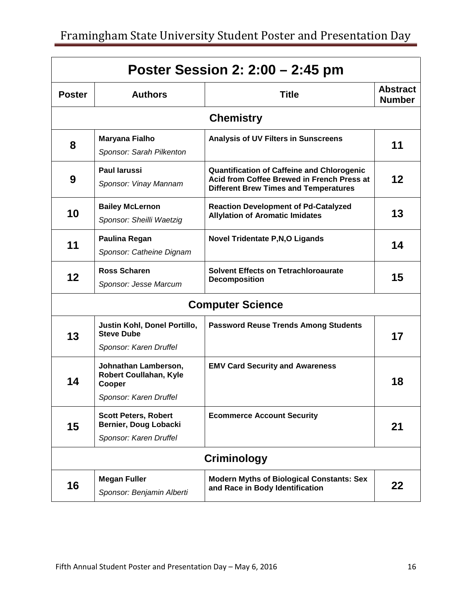|               | Poster Session 2: 2:00 – 2:45 pm                                                   |                                                                                                                                                 |                                  |  |
|---------------|------------------------------------------------------------------------------------|-------------------------------------------------------------------------------------------------------------------------------------------------|----------------------------------|--|
| <b>Poster</b> | <b>Authors</b>                                                                     | <b>Title</b>                                                                                                                                    | <b>Abstract</b><br><b>Number</b> |  |
|               |                                                                                    | <b>Chemistry</b>                                                                                                                                |                                  |  |
| 8             | Maryana Fialho<br>Sponsor: Sarah Pilkenton                                         | <b>Analysis of UV Filters in Sunscreens</b>                                                                                                     | 11                               |  |
| 9             | <b>Paul larussi</b><br>Sponsor: Vinay Mannam                                       | <b>Quantification of Caffeine and Chlorogenic</b><br>Acid from Coffee Brewed in French Press at<br><b>Different Brew Times and Temperatures</b> | 12                               |  |
| 10            | <b>Bailey McLernon</b><br>Sponsor: Sheilli Waetzig                                 | <b>Reaction Development of Pd-Catalyzed</b><br><b>Allylation of Aromatic Imidates</b>                                                           | 13                               |  |
| 11            | Paulina Regan<br>Sponsor: Catheine Dignam                                          | <b>Novel Tridentate P, N, O Ligands</b>                                                                                                         | 14                               |  |
| 12            | <b>Ross Scharen</b><br>Sponsor: Jesse Marcum                                       | <b>Solvent Effects on Tetrachloroaurate</b><br><b>Decomposition</b>                                                                             | 15                               |  |
|               |                                                                                    | <b>Computer Science</b>                                                                                                                         |                                  |  |
| 13            | Justin Kohl, Donel Portillo,<br><b>Steve Dube</b><br>Sponsor: Karen Druffel        | <b>Password Reuse Trends Among Students</b>                                                                                                     | 17                               |  |
| 14            | Johnathan Lamberson,<br>Robert Coullahan, Kyle<br>Cooper<br>Sponsor: Karen Druffel | <b>EMV Card Security and Awareness</b>                                                                                                          | 18                               |  |
| 15            | <b>Scott Peters, Robert</b><br>Bernier, Doug Lobacki<br>Sponsor: Karen Druffel     | <b>Ecommerce Account Security</b>                                                                                                               | 21                               |  |
|               |                                                                                    | Criminology                                                                                                                                     |                                  |  |
| 16            | <b>Megan Fuller</b><br>Sponsor: Benjamin Alberti                                   | <b>Modern Myths of Biological Constants: Sex</b><br>and Race in Body Identification                                                             | 22                               |  |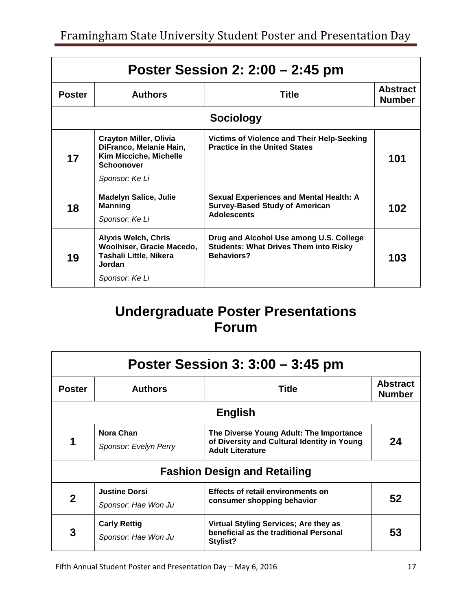| Poster Session 2: $2:00 - 2:45$ pm |                                                                                                                    |                                                                                                               |                                  |  |
|------------------------------------|--------------------------------------------------------------------------------------------------------------------|---------------------------------------------------------------------------------------------------------------|----------------------------------|--|
| <b>Poster</b>                      | <b>Authors</b>                                                                                                     | <b>Title</b>                                                                                                  | <b>Abstract</b><br><b>Number</b> |  |
|                                    | <b>Sociology</b>                                                                                                   |                                                                                                               |                                  |  |
| 17                                 | <b>Crayton Miller, Olivia</b><br>DiFranco, Melanie Hain,<br>Kim Micciche, Michelle<br>Schoonover<br>Sponsor: Ke Li | Victims of Violence and Their Help-Seeking<br><b>Practice in the United States</b>                            | 101                              |  |
| 18                                 | <b>Madelyn Salice, Julie</b><br><b>Manning</b><br>Sponsor: Ke Li                                                   | <b>Sexual Experiences and Mental Health: A</b><br><b>Survey-Based Study of American</b><br><b>Adolescents</b> | 102                              |  |
| 19                                 | <b>Alyxis Welch, Chris</b><br>Woolhiser, Gracie Macedo,<br>Tashali Little, Nikera<br>Jordan<br>Sponsor: Ke Li      | Drug and Alcohol Use among U.S. College<br><b>Students: What Drives Them into Risky</b><br><b>Behaviors?</b>  | 103                              |  |

# **Undergraduate Poster Presentations Forum**

| Poster Session $3:3:00-3:45$ pm |                                             |                                                                                                                   |                                  |
|---------------------------------|---------------------------------------------|-------------------------------------------------------------------------------------------------------------------|----------------------------------|
| <b>Poster</b>                   | <b>Authors</b>                              | <b>Title</b>                                                                                                      | <b>Abstract</b><br><b>Number</b> |
| <b>English</b>                  |                                             |                                                                                                                   |                                  |
| 1                               | <b>Nora Chan</b><br>Sponsor: Evelyn Perry   | The Diverse Young Adult: The Importance<br>of Diversity and Cultural Identity in Young<br><b>Adult Literature</b> | 24                               |
|                                 |                                             | <b>Fashion Design and Retailing</b>                                                                               |                                  |
| $\mathbf 2$                     | <b>Justine Dorsi</b><br>Sponsor: Hae Won Ju | <b>Effects of retail environments on</b><br>consumer shopping behavior                                            | 52                               |
| 3                               | <b>Carly Rettig</b><br>Sponsor: Hae Won Ju  | Virtual Styling Services; Are they as<br>beneficial as the traditional Personal<br>Stylist?                       | 53                               |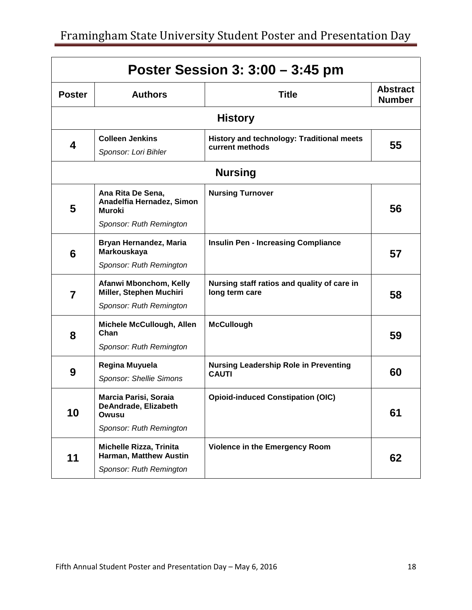| Poster Session 3: 3:00 – 3:45 pm |                                                                              |                                                               |                                  |
|----------------------------------|------------------------------------------------------------------------------|---------------------------------------------------------------|----------------------------------|
| <b>Poster</b>                    | <b>Authors</b>                                                               | <b>Title</b>                                                  | <b>Abstract</b><br><b>Number</b> |
|                                  |                                                                              | <b>History</b>                                                |                                  |
| 4                                | <b>Colleen Jenkins</b><br>Sponsor: Lori Bihler                               | History and technology: Traditional meets<br>current methods  | 55                               |
|                                  |                                                                              | <b>Nursing</b>                                                |                                  |
| 5                                | Ana Rita De Sena,<br>Anadelfia Hernadez, Simon<br><b>Muroki</b>              | <b>Nursing Turnover</b>                                       | 56                               |
|                                  | Sponsor: Ruth Remington                                                      |                                                               |                                  |
| 6                                | Bryan Hernandez, Maria<br>Markouskaya                                        | <b>Insulin Pen - Increasing Compliance</b>                    | 57                               |
|                                  | Sponsor: Ruth Remington                                                      |                                                               |                                  |
| $\overline{7}$                   | Afanwi Mbonchom, Kelly<br>Miller, Stephen Muchiri<br>Sponsor: Ruth Remington | Nursing staff ratios and quality of care in<br>long term care | 58                               |
|                                  | Michele McCullough, Allen                                                    | <b>McCullough</b>                                             |                                  |
| 8                                | Chan                                                                         |                                                               | 59                               |
|                                  | Sponsor: Ruth Remington                                                      |                                                               |                                  |
| 9                                | Regina Muyuela<br>Sponsor: Shellie Simons                                    | <b>Nursing Leadership Role in Preventing</b><br><b>CAUTI</b>  | 60                               |
|                                  |                                                                              |                                                               |                                  |
| 10                               | <b>Marcia Parisi, Soraia</b><br>DeAndrade, Elizabeth<br>Owusu                | <b>Opioid-induced Constipation (OIC)</b>                      | 61                               |
|                                  | Sponsor: Ruth Remington                                                      |                                                               |                                  |
|                                  | <b>Michelle Rizza, Trinita</b><br>Harman, Matthew Austin                     | <b>Violence in the Emergency Room</b>                         |                                  |
| 11                               | Sponsor: Ruth Remington                                                      |                                                               | 62                               |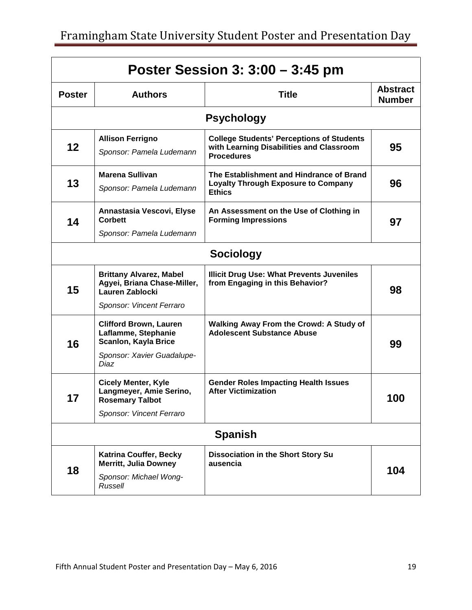| Poster Session 3: 3:00 – 3:45 pm |                                                                                         |                                                                                                                   |                                  |
|----------------------------------|-----------------------------------------------------------------------------------------|-------------------------------------------------------------------------------------------------------------------|----------------------------------|
| <b>Poster</b>                    | <b>Authors</b>                                                                          | <b>Title</b>                                                                                                      | <b>Abstract</b><br><b>Number</b> |
|                                  |                                                                                         | <b>Psychology</b>                                                                                                 |                                  |
| 12                               | <b>Allison Ferrigno</b><br>Sponsor: Pamela Ludemann                                     | <b>College Students' Perceptions of Students</b><br>with Learning Disabilities and Classroom<br><b>Procedures</b> | 95                               |
| 13                               | Marena Sullivan<br>Sponsor: Pamela Ludemann                                             | The Establishment and Hindrance of Brand<br><b>Loyalty Through Exposure to Company</b><br><b>Ethics</b>           | 96                               |
| 14                               | Annastasia Vescovi, Elyse<br>Corbett<br>Sponsor: Pamela Ludemann                        | An Assessment on the Use of Clothing in<br><b>Forming Impressions</b>                                             | 97                               |
|                                  |                                                                                         | <b>Sociology</b>                                                                                                  |                                  |
| 15                               | <b>Brittany Alvarez, Mabel</b><br>Agyei, Briana Chase-Miller,<br><b>Lauren Zablocki</b> | <b>Illicit Drug Use: What Prevents Juveniles</b><br>from Engaging in this Behavior?                               | 98                               |
|                                  | Sponsor: Vincent Ferraro                                                                |                                                                                                                   |                                  |
| 16                               | <b>Clifford Brown, Lauren</b><br>Laflamme, Stephanie<br>Scanlon, Kayla Brice            | <b>Walking Away From the Crowd: A Study of</b><br><b>Adolescent Substance Abuse</b>                               | 99                               |
|                                  | Sponsor: Xavier Guadalupe-<br>Diaz                                                      |                                                                                                                   |                                  |
| 17                               | <b>Cicely Menter, Kyle</b><br>Langmeyer, Amie Serino,<br><b>Rosemary Talbot</b>         | <b>Gender Roles Impacting Health Issues</b><br><b>After Victimization</b>                                         | 100                              |
|                                  | Sponsor: Vincent Ferraro                                                                |                                                                                                                   |                                  |
| <b>Spanish</b>                   |                                                                                         |                                                                                                                   |                                  |
|                                  | <b>Katrina Couffer, Becky</b><br><b>Merritt, Julia Downey</b>                           | <b>Dissociation in the Short Story Su</b><br>ausencia                                                             |                                  |
| 18                               | Sponsor: Michael Wong-<br>Russell                                                       |                                                                                                                   | 104                              |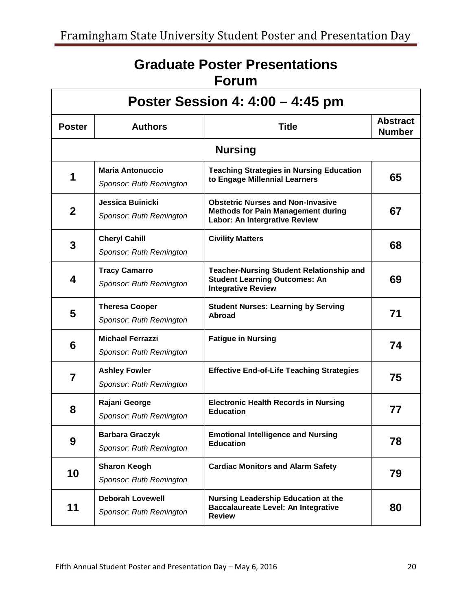# **Graduate Poster Presentations Forum**

| Poster Session 4: 4:00 – 4:45 pm |                                                    |                                                                                                                        |                                  |
|----------------------------------|----------------------------------------------------|------------------------------------------------------------------------------------------------------------------------|----------------------------------|
| <b>Poster</b>                    | <b>Authors</b>                                     | <b>Title</b>                                                                                                           | <b>Abstract</b><br><b>Number</b> |
|                                  |                                                    | <b>Nursing</b>                                                                                                         |                                  |
| 1                                | <b>Maria Antonuccio</b><br>Sponsor: Ruth Remington | <b>Teaching Strategies in Nursing Education</b><br>to Engage Millennial Learners                                       | 65                               |
| $\mathbf{2}$                     | Jessica Buinicki<br>Sponsor: Ruth Remington        | <b>Obstetric Nurses and Non-Invasive</b><br><b>Methods for Pain Management during</b><br>Labor: An Intergrative Review | 67                               |
| 3                                | <b>Cheryl Cahill</b><br>Sponsor: Ruth Remington    | <b>Civility Matters</b>                                                                                                | 68                               |
| 4                                | <b>Tracy Camarro</b><br>Sponsor: Ruth Remington    | <b>Teacher-Nursing Student Relationship and</b><br><b>Student Learning Outcomes: An</b><br><b>Integrative Review</b>   | 69                               |
| 5                                | <b>Theresa Cooper</b><br>Sponsor: Ruth Remington   | <b>Student Nurses: Learning by Serving</b><br><b>Abroad</b>                                                            | 71                               |
| 6                                | <b>Michael Ferrazzi</b><br>Sponsor: Ruth Remington | <b>Fatigue in Nursing</b>                                                                                              | 74                               |
| 7                                | <b>Ashley Fowler</b><br>Sponsor: Ruth Remington    | <b>Effective End-of-Life Teaching Strategies</b>                                                                       | 75                               |
| 8                                | Rajani George<br>Sponsor: Ruth Remington           | <b>Electronic Health Records in Nursing</b><br><b>Education</b>                                                        | 77                               |
| 9                                | <b>Barbara Graczyk</b><br>Sponsor: Ruth Remington  | <b>Emotional Intelligence and Nursing</b><br><b>Education</b>                                                          | 78                               |
| 10                               | <b>Sharon Keogh</b><br>Sponsor: Ruth Remington     | <b>Cardiac Monitors and Alarm Safety</b>                                                                               | 79                               |
| 11                               | <b>Deborah Lovewell</b><br>Sponsor: Ruth Remington | <b>Nursing Leadership Education at the</b><br><b>Baccalaureate Level: An Integrative</b><br><b>Review</b>              | 80                               |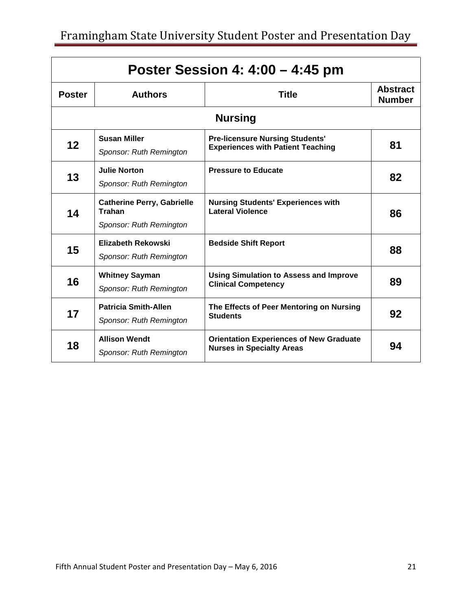| Poster Session 4: 4:00 - 4:45 pm |                                                                               |                                                                                    |                                  |
|----------------------------------|-------------------------------------------------------------------------------|------------------------------------------------------------------------------------|----------------------------------|
| <b>Poster</b>                    | <b>Authors</b>                                                                | <b>Title</b>                                                                       | <b>Abstract</b><br><b>Number</b> |
|                                  |                                                                               | <b>Nursing</b>                                                                     |                                  |
| 12                               | <b>Susan Miller</b><br>Sponsor: Ruth Remington                                | <b>Pre-licensure Nursing Students'</b><br><b>Experiences with Patient Teaching</b> | 81                               |
| 13                               | <b>Julie Norton</b><br>Sponsor: Ruth Remington                                | <b>Pressure to Educate</b>                                                         | 82                               |
| 14                               | <b>Catherine Perry, Gabrielle</b><br><b>Trahan</b><br>Sponsor: Ruth Remington | <b>Nursing Students' Experiences with</b><br><b>Lateral Violence</b>               | 86                               |
| 15                               | Elizabeth Rekowski<br>Sponsor: Ruth Remington                                 | <b>Bedside Shift Report</b>                                                        | 88                               |
| 16                               | <b>Whitney Sayman</b><br>Sponsor: Ruth Remington                              | <b>Using Simulation to Assess and Improve</b><br><b>Clinical Competency</b>        | 89                               |
| 17                               | <b>Patricia Smith-Allen</b><br>Sponsor: Ruth Remington                        | The Effects of Peer Mentoring on Nursing<br><b>Students</b>                        | 92                               |
| 18                               | <b>Allison Wendt</b><br>Sponsor: Ruth Remington                               | <b>Orientation Experiences of New Graduate</b><br><b>Nurses in Specialty Areas</b> | 94                               |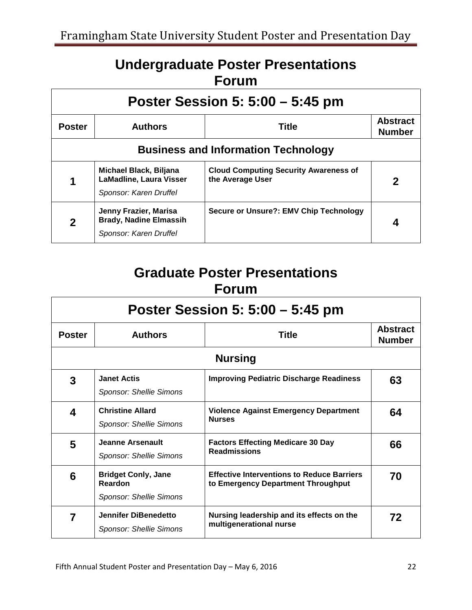## **Undergraduate Poster Presentations Forum**

| Poster Session 5: $5:00 - 5:45$ pm         |                                                                                    |                                                                  |                                  |
|--------------------------------------------|------------------------------------------------------------------------------------|------------------------------------------------------------------|----------------------------------|
| <b>Poster</b>                              | <b>Authors</b>                                                                     | <b>Title</b>                                                     | <b>Abstract</b><br><b>Number</b> |
| <b>Business and Information Technology</b> |                                                                                    |                                                                  |                                  |
|                                            | Michael Black, Biljana<br><b>LaMadline, Laura Visser</b><br>Sponsor: Karen Druffel | <b>Cloud Computing Security Awareness of</b><br>the Average User | $\mathbf 2$                      |
| $\mathbf 2$                                | Jenny Frazier, Marisa<br><b>Brady, Nadine Elmassih</b><br>Sponsor: Karen Druffel   | <b>Secure or Unsure?: EMV Chip Technology</b>                    |                                  |

## **Graduate Poster Presentations Forum**

| Poster Session 5: 5:00 – 5:45 pm |                                                                                |                                                                                         |                                  |
|----------------------------------|--------------------------------------------------------------------------------|-----------------------------------------------------------------------------------------|----------------------------------|
| <b>Poster</b>                    | <b>Authors</b>                                                                 | <b>Title</b>                                                                            | <b>Abstract</b><br><b>Number</b> |
|                                  |                                                                                | <b>Nursing</b>                                                                          |                                  |
| 3                                | <b>Janet Actis</b><br><b>Sponsor: Shellie Simons</b>                           | <b>Improving Pediatric Discharge Readiness</b>                                          | 63                               |
| 4                                | <b>Christine Allard</b><br>Sponsor: Shellie Simons                             | <b>Violence Against Emergency Department</b><br><b>Nurses</b>                           | 64                               |
| 5                                | Jeanne Arsenault<br><b>Sponsor: Shellie Simons</b>                             | <b>Factors Effecting Medicare 30 Day</b><br><b>Readmissions</b>                         | 66                               |
| 6                                | <b>Bridget Conly, Jane</b><br><b>Reardon</b><br><b>Sponsor: Shellie Simons</b> | <b>Effective Interventions to Reduce Barriers</b><br>to Emergency Department Throughput | 70                               |
| 7                                | Jennifer DiBenedetto<br><b>Sponsor: Shellie Simons</b>                         | Nursing leadership and its effects on the<br>multigenerational nurse                    | 72                               |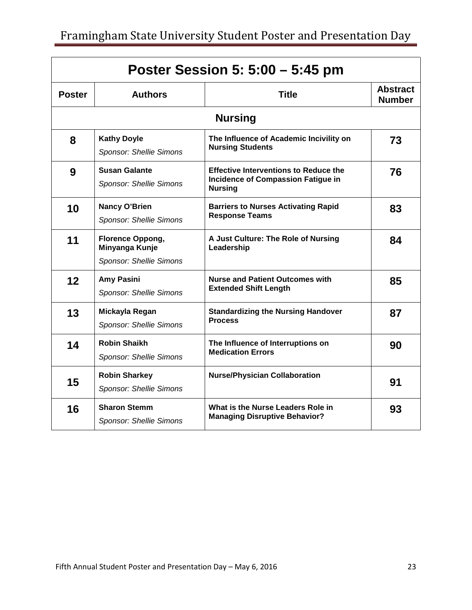| Poster Session 5: 5:00 – 5:45 pm |                                                               |                                                                                                      |                                  |
|----------------------------------|---------------------------------------------------------------|------------------------------------------------------------------------------------------------------|----------------------------------|
| <b>Poster</b>                    | <b>Authors</b>                                                | <b>Title</b>                                                                                         | <b>Abstract</b><br><b>Number</b> |
| <b>Nursing</b>                   |                                                               |                                                                                                      |                                  |
| 8                                | <b>Kathy Doyle</b><br>Sponsor: Shellie Simons                 | The Influence of Academic Incivility on<br><b>Nursing Students</b>                                   | 73                               |
| 9                                | <b>Susan Galante</b><br><b>Sponsor: Shellie Simons</b>        | <b>Effective Interventions to Reduce the</b><br>Incidence of Compassion Fatigue in<br><b>Nursing</b> | 76                               |
| 10                               | Nancy O'Brien<br><b>Sponsor: Shellie Simons</b>               | <b>Barriers to Nurses Activating Rapid</b><br><b>Response Teams</b>                                  | 83                               |
| 11                               | Florence Oppong,<br>Minyanga Kunje<br>Sponsor: Shellie Simons | A Just Culture: The Role of Nursing<br>Leadership                                                    | 84                               |
| 12                               | Amy Pasini<br>Sponsor: Shellie Simons                         | <b>Nurse and Patient Outcomes with</b><br><b>Extended Shift Length</b>                               | 85                               |
| 13                               | Mickayla Regan<br>Sponsor: Shellie Simons                     | <b>Standardizing the Nursing Handover</b><br><b>Process</b>                                          | 87                               |
| 14                               | <b>Robin Shaikh</b><br>Sponsor: Shellie Simons                | The Influence of Interruptions on<br><b>Medication Errors</b>                                        | 90                               |
| 15                               | <b>Robin Sharkey</b><br>Sponsor: Shellie Simons               | <b>Nurse/Physician Collaboration</b>                                                                 | 91                               |
| 16                               | <b>Sharon Stemm</b><br><b>Sponsor: Shellie Simons</b>         | What is the Nurse Leaders Role in<br><b>Managing Disruptive Behavior?</b>                            | 93                               |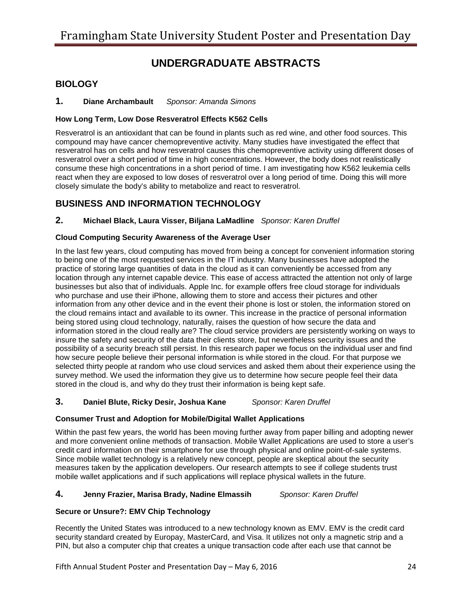## **UNDERGRADUATE ABSTRACTS**

### **BIOLOGY**

**1. Diane Archambault** *Sponsor: Amanda Simons* 

#### **How Long Term, Low Dose Resveratrol Effects K562 Cells**

 compound may have cancer chemopreventive activity. Many studies have investigated the effect that resveratrol has on cells and how resveratrol causes this chemopreventive activity using different doses of react when they are exposed to low doses of resveratrol over a long period of time. Doing this will more Resveratrol is an antioxidant that can be found in plants such as red wine, and other food sources. This resveratrol over a short period of time in high concentrations. However, the body does not realistically consume these high concentrations in a short period of time. I am investigating how K562 leukemia cells closely simulate the body's ability to metabolize and react to resveratrol.

### **BUSINESS AND INFORMATION TECHNOLOGY**

#### **2. Michael Black, Laura Visser, Biljana LaMadline** *Sponsor: Karen Druffel*

#### **Cloud Computing Security Awareness of the Average User**

 location through any internet capable device. This ease of access attracted the attention not only of large how secure people believe their personal information is while stored in the cloud. For that purpose we In the last few years, cloud computing has moved from being a concept for convenient information storing to being one of the most requested services in the IT industry. Many businesses have adopted the practice of storing large quantities of data in the cloud as it can conveniently be accessed from any businesses but also that of individuals. Apple Inc. for example offers free cloud storage for individuals who purchase and use their iPhone, allowing them to store and access their pictures and other information from any other device and in the event their phone is lost or stolen, the information stored on the cloud remains intact and available to its owner. This increase in the practice of personal information being stored using cloud technology, naturally, raises the question of how secure the data and information stored in the cloud really are? The cloud service providers are persistently working on ways to insure the safety and security of the data their clients store, but nevertheless security issues and the possibility of a security breach still persist. In this research paper we focus on the individual user and find selected thirty people at random who use cloud services and asked them about their experience using the survey method. We used the information they give us to determine how secure people feel their data stored in the cloud is, and why do they trust their information is being kept safe.

#### **3. Daniel Blute, Ricky Desir, Joshua Kane** *Sponsor: Karen Druffel*

#### **Consumer Trust and Adoption for Mobile/Digital Wallet Applications**

Within the past few years, the world has been moving further away from paper billing and adopting newer and more convenient online methods of transaction. Mobile Wallet Applications are used to store a user's credit card information on their smartphone for use through physical and online point-of-sale systems. Since mobile wallet technology is a relatively new concept, people are skeptical about the security measures taken by the application developers. Our research attempts to see if college students trust mobile wallet applications and if such applications will replace physical wallets in the future.

#### **4. Jenny Frazier, Marisa Brady, Nadine Elmassih** *Sponsor: Karen Druffel*

#### **Secure or Unsure?: EMV Chip Technology**

 Recently the United States was introduced to a new technology known as EMV. EMV is the credit card security standard created by Europay, MasterCard, and Visa. It utilizes not only a magnetic strip and a PIN, but also a computer chip that creates a unique transaction code after each use that cannot be

Fifth Annual Student Poster and Presentation Day – May 6, 2016 **2016** 24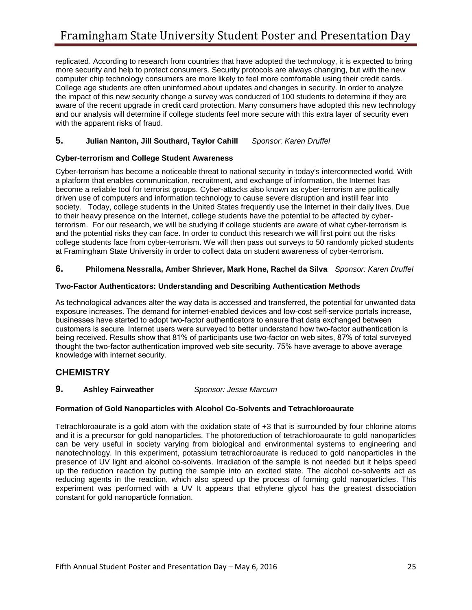more security and help to protect consumers. Security protocols are always changing, but with the new and our analysis will determine if college students feel more secure with this extra layer of security even replicated. According to research from countries that have adopted the technology, it is expected to bring computer chip technology consumers are more likely to feel more comfortable using their credit cards. College age students are often uninformed about updates and changes in security. In order to analyze the impact of this new security change a survey was conducted of 100 students to determine if they are aware of the recent upgrade in credit card protection. Many consumers have adopted this new technology with the apparent risks of fraud.

#### **5. Julian Nanton, Jill Southard, Taylor Cahill** *Sponsor: Karen Druffel*

#### **Cyber-terrorism and College Student Awareness**

 Cyber-terrorism has become a noticeable threat to national security in today's interconnected world. With society. Today, college students in the United States frequently use the Internet in their daily lives. Due a platform that enables communication, recruitment, and exchange of information, the Internet has become a reliable tool for terrorist groups. Cyber-attacks also known as cyber-terrorism are politically driven use of computers and information technology to cause severe disruption and instill fear into to their heavy presence on the Internet, college students have the potential to be affected by cyberterrorism. For our research, we will be studying if college students are aware of what cyber-terrorism is and the potential risks they can face. In order to conduct this research we will first point out the risks college students face from cyber-terrorism. We will then pass out surveys to 50 randomly picked students at Framingham State University in order to collect data on student awareness of cyber-terrorism.

#### **6. Philomena Nessralla, Amber Shriever, Mark Hone, Rachel da Silva** *Sponsor: Karen Druffel*

#### **Two-Factor Authenticators: Understanding and Describing Authentication Methods**

 being received. Results show that 81% of participants use two-factor on web sites, 87% of total surveyed As technological advances alter the way data is accessed and transferred, the potential for unwanted data exposure increases. The demand for internet-enabled devices and low-cost self-service portals increase, businesses have started to adopt two-factor authenticators to ensure that data exchanged between customers is secure. Internet users were surveyed to better understand how two-factor authentication is thought the two-factor authentication improved web site security. 75% have average to above average knowledge with internet security.

### **CHEMISTRY**

#### **Ashley Fairweather 9. Ashley Fairweather** *Sponsor: Jesse Marcum*

#### **Formation of Gold Nanoparticles with Alcohol Co-Solvents and Tetrachloroaurate**

 Tetrachloroaurate is a gold atom with the oxidation state of +3 that is surrounded by four chlorine atoms presence of UV light and alcohol co-solvents. Irradiation of the sample is not needed but it helps speed and it is a precursor for gold nanoparticles. The photoreduction of tetrachloroaurate to gold nanoparticles can be very useful in society varying from biological and environmental systems to engineering and nanotechnology. In this experiment, potassium tetrachloroaurate is reduced to gold nanoparticles in the up the reduction reaction by putting the sample into an excited state. The alcohol co-solvents act as reducing agents in the reaction, which also speed up the process of forming gold nanoparticles. This experiment was performed with a UV It appears that ethylene glycol has the greatest dissociation constant for gold nanoparticle formation.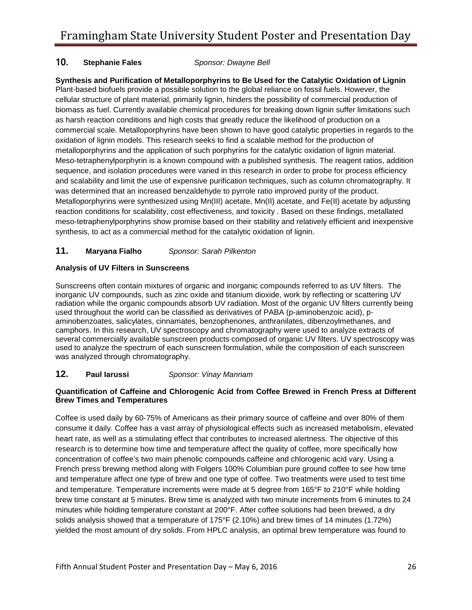#### **Stephanie Fales** 10. **Stephanie Fales** *Sponsor: Dwayne Bell*

 cellular structure of plant material, primarily lignin, hinders the possibility of commercial production of and scalability and limit the use of expensive purification techniques, such as column chromatography. It reaction conditions for scalability, cost effectiveness, and toxicity . Based on these findings, metallated **Synthesis and Purification of Metalloporphyrins to Be Used for the Catalytic Oxidation of Lignin**  Plant-based biofuels provide a possible solution to the global reliance on fossil fuels. However, the biomass as fuel. Currently available chemical procedures for breaking down lignin suffer limitations such as harsh reaction conditions and high costs that greatly reduce the likelihood of production on a commercial scale. Metalloporphyrins have been shown to have good catalytic properties in regards to the oxidation of lignin models. This research seeks to find a scalable method for the production of metalloporphyrins and the application of such porphyrins for the catalytic oxidation of lignin material. Meso-tetraphenylporphyrin is a known compound with a published synthesis. The reagent ratios, addition sequence, and isolation procedures were varied in this research in order to probe for process efficiency was determined that an increased benzaldehyde to pyrrole ratio improved purity of the product. Metalloporphyrins were synthesized using Mn(III) acetate, Mn(II) acetate, and Fe(II) acetate by adjusting meso-tetraphenylporphyrins show promise based on their stability and relatively efficient and inexpensive synthesis, to act as a commercial method for the catalytic oxidation of lignin.

#### $11.$ **11. Maryana Fialho** *Sponsor: Sarah Pilkenton*

### **Analysis of UV Filters in Sunscreens**

 several commercially available sunscreen products composed of organic UV filters. UV spectroscopy was Sunscreens often contain mixtures of organic and inorganic compounds referred to as UV filters. The inorganic UV compounds, such as zinc oxide and titanium dioxide, work by reflecting or scattering UV radiation while the organic compounds absorb UV radiation. Most of the organic UV filters currently being used throughout the world can be classified as derivatives of PABA (p-aminobenzoic acid), paminobenzoates, salicylates, cinnamates, benzophenones, anthranilates, dibenzoylmethanes, and camphors. In this research, UV spectroscopy and chromatography were used to analyze extracts of used to analyze the spectrum of each sunscreen formulation, while the composition of each sunscreen was analyzed through chromatography.

#### $12.$ **12. Paul Iarussi** *Sponsor: Vinay Mannam*

#### **Quantification of Caffeine and Chlorogenic Acid from Coffee Brewed in French Press at Different Brew Times and Temperatures**

 Coffee is used daily by 60-75% of Americans as their primary source of caffeine and over 80% of them consume it daily. Coffee has a vast array of physiological effects such as increased metabolism, elevated research is to determine how time and temperature affect the quality of coffee, more specifically how minutes while holding temperature constant at 200°F. After coffee solutions had been brewed, a dry heart rate, as well as a stimulating effect that contributes to increased alertness. The objective of this concentration of coffee's two main phenolic compounds caffeine and chlorogenic acid vary. Using a French press brewing method along with Folgers 100% Columbian pure ground coffee to see how time and temperature affect one type of brew and one type of coffee. Two treatments were used to test time and temperature. Temperature increments were made at 5 degree from 165°F to 210°F while holding brew time constant at 5 minutes. Brew time is analyzed with two minute increments from 6 minutes to 24 solids analysis showed that a temperature of 175°F (2.10%) and brew times of 14 minutes (1.72%) yielded the most amount of dry solids. From HPLC analysis, an optimal brew temperature was found to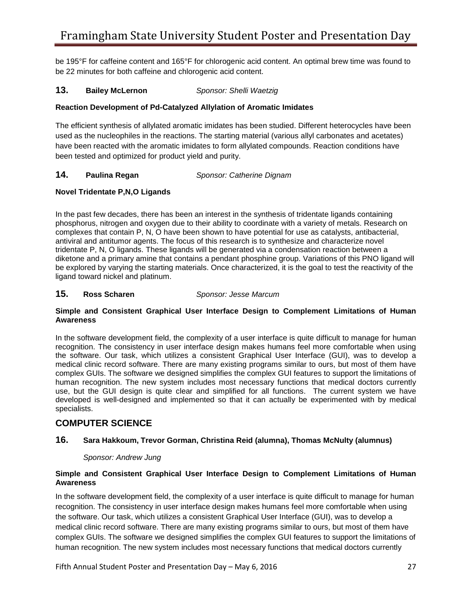be 195°F for caffeine content and 165°F for chlorogenic acid content. An optimal brew time was found to be 22 minutes for both caffeine and chlorogenic acid content.

#### $13.$ **13. Bailey McLernon** *Sponsor: Shelli Waetzig*

#### **Reaction Development of Pd-Catalyzed Allylation of Aromatic Imidates**

The efficient synthesis of allylated aromatic imidates has been studied. Different heterocycles have been used as the nucleophiles in the reactions. The starting material (various allyl carbonates and acetates) have been reacted with the aromatic imidates to form allylated compounds. Reaction conditions have been tested and optimized for product yield and purity.

#### $14.$ **14. Paulina Regan** *Sponsor: Catherine Dignam*

#### **Novel Tridentate P,N,O Ligands**

 tridentate P, N, O ligands. These ligands will be generated via a condensation reaction between a be explored by varying the starting materials. Once characterized, it is the goal to test the reactivity of the ligand toward nickel and platinum. In the past few decades, there has been an interest in the synthesis of tridentate ligands containing phosphorus, nitrogen and oxygen due to their ability to coordinate with a variety of metals. Research on complexes that contain P, N, O have been shown to have potential for use as catalysts, antibacterial, antiviral and antitumor agents. The focus of this research is to synthesize and characterize novel diketone and a primary amine that contains a pendant phosphine group. Variations of this PNO ligand will

#### **Ross Scharen 15. Ross Scharen** *Sponsor: Jesse Marcum*

#### **Simple and Consistent Graphical User Interface Design to Complement Limitations of Human Awareness**

 recognition. The consistency in user interface design makes humans feel more comfortable when using medical clinic record software. There are many existing programs similar to ours, but most of them have complex GUIs. The software we designed simplifies the complex GUI features to support the limitations of In the software development field, the complexity of a user interface is quite difficult to manage for human the software. Our task, which utilizes a consistent Graphical User Interface (GUI), was to develop a human recognition. The new system includes most necessary functions that medical doctors currently use, but the GUI design is quite clear and simplified for all functions. The current system we have developed is well-designed and implemented so that it can actually be experimented with by medical specialists.

### **COMPUTER SCIENCE**

#### **16. Sara Hakkoum, Trevor Gorman, Christina Reid (alumna), Thomas McNulty (alumnus)**

#### *Sponsor: Andrew Jung*

#### **Simple and Consistent Graphical User Interface Design to Complement Limitations of Human Awareness**

 recognition. The consistency in user interface design makes humans feel more comfortable when using In the software development field, the complexity of a user interface is quite difficult to manage for human the software. Our task, which utilizes a consistent Graphical User Interface (GUI), was to develop a medical clinic record software. There are many existing programs similar to ours, but most of them have complex GUIs. The software we designed simplifies the complex GUI features to support the limitations of human recognition. The new system includes most necessary functions that medical doctors currently

Fifth Annual Student Poster and Presentation Day – May 6, 2016 27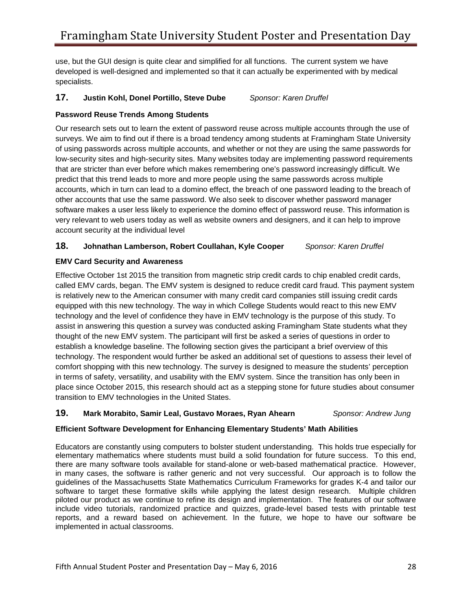use, but the GUI design is quite clear and simplified for all functions. The current system we have developed is well-designed and implemented so that it can actually be experimented with by medical specialists.

#### **17. Justin Kohl, Donel Portillo, Steve Dube** *Sponsor: Karen Druffel*

#### **Password Reuse Trends Among Students**

 predict that this trend leads to more and more people using the same passwords across multiple very relevant to web users today as well as website owners and designers, and it can help to improve Our research sets out to learn the extent of password reuse across multiple accounts through the use of surveys. We aim to find out if there is a broad tendency among students at Framingham State University of using passwords across multiple accounts, and whether or not they are using the same passwords for low-security sites and high-security sites. Many websites today are implementing password requirements that are stricter than ever before which makes remembering one's password increasingly difficult. We accounts, which in turn can lead to a domino effect, the breach of one password leading to the breach of other accounts that use the same password. We also seek to discover whether password manager software makes a user less likely to experience the domino effect of password reuse. This information is account security at the individual level

#### **18. Johnathan Lamberson, Robert Coullahan, Kyle Cooper** *Sponsor: Karen Druffel*

#### **EMV Card Security and Awareness**

 is relatively new to the American consumer with many credit card companies still issuing credit cards assist in answering this question a survey was conducted asking Framingham State students what they thought of the new EMV system. The participant will first be asked a series of questions in order to establish a knowledge baseline. The following section gives the participant a brief overview of this comfort shopping with this new technology. The survey is designed to measure the students' perception Effective October 1st 2015 the transition from magnetic strip credit cards to chip enabled credit cards, called EMV cards, began. The EMV system is designed to reduce credit card fraud. This payment system equipped with this new technology. The way in which College Students would react to this new EMV technology and the level of confidence they have in EMV technology is the purpose of this study. To technology. The respondent would further be asked an additional set of questions to assess their level of in terms of safety, versatility, and usability with the EMV system. Since the transition has only been in place since October 2015, this research should act as a stepping stone for future studies about consumer transition to EMV technologies in the United States.

#### **19. Mark Morabito, Samir Leal, Gustavo Moraes, Ryan Ahearn** *Sponsor: Andrew Jung*

#### **Efficient Software Development for Enhancing Elementary Students' Math Abilities**

 elementary mathematics where students must build a solid foundation for future success. To this end, there are many software tools available for stand-alone or web-based mathematical practice. However, piloted our product as we continue to refine its design and implementation. The features of our software Educators are constantly using computers to bolster student understanding. This holds true especially for in many cases, the software is rather generic and not very successful. Our approach is to follow the guidelines of the Massachusetts State Mathematics Curriculum Frameworks for grades K-4 and tailor our software to target these formative skills while applying the latest design research. Multiple children include video tutorials, randomized practice and quizzes, grade-level based tests with printable test reports, and a reward based on achievement. In the future, we hope to have our software be implemented in actual classrooms.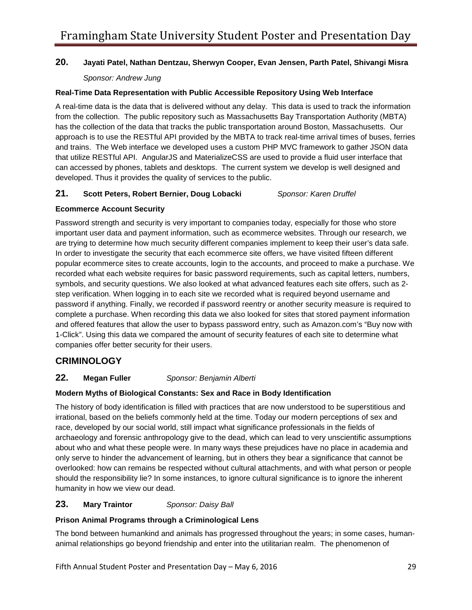### **20. Jayati Patel, Nathan Dentzau, Sherwyn Cooper, Evan Jensen, Parth Patel, Shivangi Misra**

#### *Sponsor: Andrew Jung*

#### **Real-Time Data Representation with Public Accessible Repository Using Web Interface**

 A real-time data is the data that is delivered without any delay. This data is used to track the information developed. Thus it provides the quality of services to the public. from the collection. The public repository such as Massachusetts Bay Transportation Authority (MBTA) has the collection of the data that tracks the public transportation around Boston, Massachusetts. Our approach is to use the RESTful API provided by the MBTA to track real-time arrival times of buses, ferries and trains. The Web interface we developed uses a custom PHP MVC framework to gather JSON data that utilize RESTful API. AngularJS and MaterializeCSS are used to provide a fluid user interface that can accessed by phones, tablets and desktops. The current system we develop is well designed and

### **21. Scott Peters, Robert Bernier, Doug Lobacki** *Sponsor: Karen Druffel*

#### **Ecommerce Account Security**

 Password strength and security is very important to companies today, especially for those who store symbols, and security questions. We also looked at what advanced features each site offers, such as 2 companies offer better security for their users. important user data and payment information, such as ecommerce websites. Through our research, we are trying to determine how much security different companies implement to keep their user's data safe. In order to investigate the security that each ecommerce site offers, we have visited fifteen different popular ecommerce sites to create accounts, login to the accounts, and proceed to make a purchase. We recorded what each website requires for basic password requirements, such as capital letters, numbers, step verification. When logging in to each site we recorded what is required beyond username and password if anything. Finally, we recorded if password reentry or another security measure is required to complete a purchase. When recording this data we also looked for sites that stored payment information and offered features that allow the user to bypass password entry, such as Amazon.com's "Buy now with 1-Click". Using this data we compared the amount of security features of each site to determine what

### **CRIMINOLOGY**

#### **Megan Fuller 22. Megan Fuller** *Sponsor: Benjamin Alberti*

#### **Modern Myths of Biological Constants: Sex and Race in Body Identification**

 The history of body identification is filled with practices that are now understood to be superstitious and race, developed by our social world, still impact what significance professionals in the fields of only serve to hinder the advancement of learning, but in others they bear a significance that cannot be humanity in how we view our dead. irrational, based on the beliefs commonly held at the time. Today our modern perceptions of sex and archaeology and forensic anthropology give to the dead, which can lead to very unscientific assumptions about who and what these people were. In many ways these prejudices have no place in academia and overlooked: how can remains be respected without cultural attachments, and with what person or people should the responsibility lie? In some instances, to ignore cultural significance is to ignore the inherent

#### **Mary Traintor 23. Mary Traintor** *Sponsor: Daisy Ball*

#### **Prison Animal Programs through a Criminological Lens**

 animal relationships go beyond friendship and enter into the utilitarian realm. The phenomenon of The bond between humankind and animals has progressed throughout the years; in some cases, human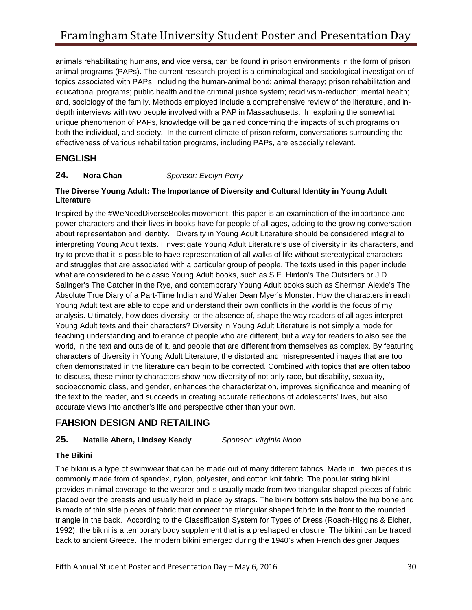animals rehabilitating humans, and vice versa, can be found in prison environments in the form of prison animal programs (PAPs). The current research project is a criminological and sociological investigation of topics associated with PAPs, including the human-animal bond; animal therapy; prison rehabilitation and educational programs; public health and the criminal justice system; recidivism-reduction; mental health; and, sociology of the family. Methods employed include a comprehensive review of the literature, and indepth interviews with two people involved with a PAP in Massachusetts. In exploring the somewhat unique phenomenon of PAPs, knowledge will be gained concerning the impacts of such programs on both the individual, and society. In the current climate of prison reform, conversations surrounding the effectiveness of various rehabilitation programs, including PAPs, are especially relevant.

### **ENGLISH**

#### **Nora Chan 24. Nora Chan** *Sponsor: Evelyn Perry*

#### **The Diverse Young Adult: The Importance of Diversity and Cultural Identity in Young Adult Literature**

 about representation and identity. Diversity in Young Adult Literature should be considered integral to try to prove that it is possible to have representation of all walks of life without stereotypical characters and struggles that are associated with a particular group of people. The texts used in this paper include what are considered to be classic Young Adult books, such as S.E. Hinton's The Outsiders or J.D. Young Adult text are able to cope and understand their own conflicts in the world is the focus of my teaching understanding and tolerance of people who are different, but a way for readers to also see the to discuss, these minority characters show how diversity of not only race, but disability, sexuality, accurate views into another's life and perspective other than your own. Inspired by the #WeNeedDiverseBooks movement, this paper is an examination of the importance and power characters and their lives in books have for people of all ages, adding to the growing conversation interpreting Young Adult texts. I investigate Young Adult Literature's use of diversity in its characters, and Salinger's The Catcher in the Rye, and contemporary Young Adult books such as Sherman Alexie's The Absolute True Diary of a Part-Time Indian and Walter Dean Myer's Monster. How the characters in each analysis. Ultimately, how does diversity, or the absence of, shape the way readers of all ages interpret Young Adult texts and their characters? Diversity in Young Adult Literature is not simply a mode for world, in the text and outside of it, and people that are different from themselves as complex. By featuring characters of diversity in Young Adult Literature, the distorted and misrepresented images that are too often demonstrated in the literature can begin to be corrected. Combined with topics that are often taboo socioeconomic class, and gender, enhances the characterization, improves significance and meaning of the text to the reader, and succeeds in creating accurate reflections of adolescents' lives, but also

### **FAHSION DESIGN AND RETAILING**

### **25. Natalie Ahern, Lindsey Keady** *Sponsor: Virginia Noon*

#### **The Bikini**

 The bikini is a type of swimwear that can be made out of many different fabrics. Made in two pieces it is placed over the breasts and usually held in place by straps. The bikini bottom sits below the hip bone and triangle in the back. According to the Classification System for Types of Dress (Roach-Higgins & Eicher, commonly made from of spandex, nylon, polyester, and cotton knit fabric. The popular string bikini provides minimal coverage to the wearer and is usually made from two triangular shaped pieces of fabric is made of thin side pieces of fabric that connect the triangular shaped fabric in the front to the rounded 1992), the bikini is a temporary body supplement that is a preshaped enclosure. The bikini can be traced back to ancient Greece. The modern bikini emerged during the 1940's when French designer Jaques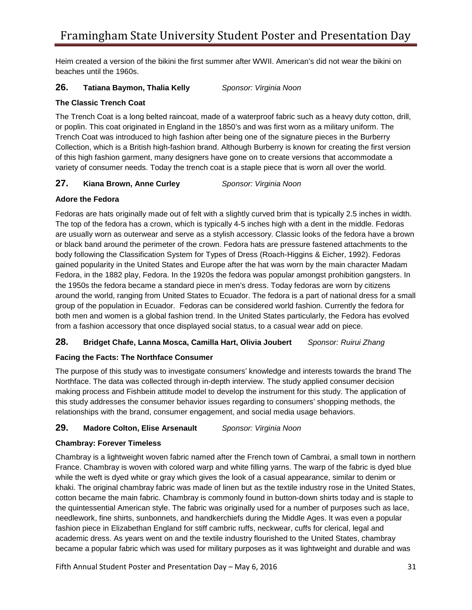beaches until the 1960s. Heim created a version of the bikini the first summer after WWII. American's did not wear the bikini on

#### **26. Tatiana Baymon, Thalia Kelly** *Sponsor: Virginia Noon*

#### **The Classic Trench Coat**

 Trench Coat was introduced to high fashion after being one of the signature pieces in the Burberry variety of consumer needs. Today the trench coat is a staple piece that is worn all over the world. The Trench Coat is a long belted raincoat, made of a waterproof fabric such as a heavy duty cotton, drill, or poplin. This coat originated in England in the 1850's and was first worn as a military uniform. The Collection, which is a British high-fashion brand. Although Burberry is known for creating the first version of this high fashion garment, many designers have gone on to create versions that accommodate a

### **27. Kiana Brown, Anne Curley** *Sponsor: Virginia Noon*

#### **Adore the Fedora**

 Fedoras are hats originally made out of felt with a slightly curved brim that is typically 2.5 inches in width. body following the Classification System for Types of Dress (Roach-Higgins & Eicher, 1992). Fedoras gained popularity in the United States and Europe after the hat was worn by the main character Madam The top of the fedora has a crown, which is typically 4-5 inches high with a dent in the middle. Fedoras are usually worn as outerwear and serve as a stylish accessory. Classic looks of the fedora have a brown or black band around the perimeter of the crown. Fedora hats are pressure fastened attachments to the Fedora, in the 1882 play, Fedora. In the 1920s the fedora was popular amongst prohibition gangsters. In the 1950s the fedora became a standard piece in men's dress. Today fedoras are worn by citizens around the world, ranging from United States to Ecuador. The fedora is a part of national dress for a small group of the population in Ecuador. Fedoras can be considered world fashion. Currently the fedora for both men and women is a global fashion trend. In the United States particularly, the Fedora has evolved from a fashion accessory that once displayed social status, to a casual wear add on piece.

#### **28. Bridget Chafe, Lanna Mosca, Camilla Hart, Olivia Joubert** *Sponsor: Ruirui Zhang*

#### **Facing the Facts: The Northface Consumer**

The purpose of this study was to investigate consumers' knowledge and interests towards the brand The Northface. The data was collected through in-depth interview. The study applied consumer decision making process and Fishbein attitude model to develop the instrument for this study. The application of this study addresses the consumer behavior issues regarding to consumers' shopping methods, the relationships with the brand, consumer engagement, and social media usage behaviors.

#### **29. Madore Colton, Elise Arsenault** *Sponsor: Virginia Noon*

#### **Chambray: Forever Timeless**

 France. Chambray is woven with colored warp and white filling yarns. The warp of the fabric is dyed blue the quintessential American style. The fabric was originally used for a number of purposes such as lace, fashion piece in Elizabethan England for stiff cambric ruffs, neckwear, cuffs for clerical, legal and academic dress. As years went on and the textile industry flourished to the United States, chambray became a popular fabric which was used for military purposes as it was lightweight and durable and was Chambray is a lightweight woven fabric named after the French town of Cambrai, a small town in northern while the weft is dyed white or gray which gives the look of a casual appearance, similar to denim or khaki. The original chambray fabric was made of linen but as the textile industry rose in the United States, cotton became the main fabric. Chambray is commonly found in button-down shirts today and is staple to needlework, fine shirts, sunbonnets, and handkerchiefs during the Middle Ages. It was even a popular

Fifth Annual Student Poster and Presentation Day – May 6, 2016 31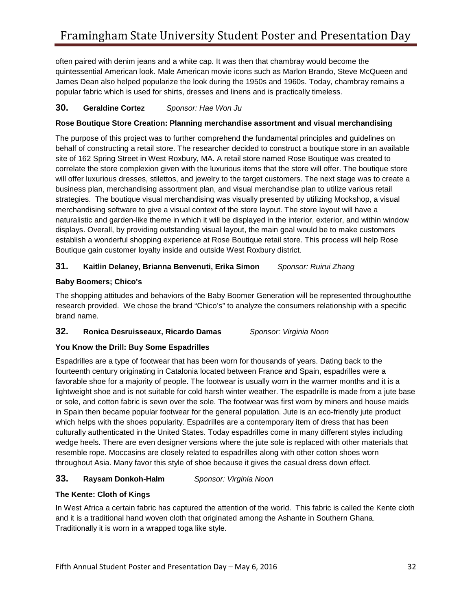often paired with denim jeans and a white cap. It was then that chambray would become the quintessential American look. Male American movie icons such as Marlon Brando, Steve McQueen and James Dean also helped popularize the look during the 1950s and 1960s. Today, chambray remains a popular fabric which is used for shirts, dresses and linens and is practically timeless.

### **30. Geraldine Cortez** *Sponsor: Hae Won Ju*

#### **Rose Boutique Store Creation: Planning merchandise assortment and visual merchandising**

 site of 162 Spring Street in West Roxbury, MA. A retail store named Rose Boutique was created to strategies. The boutique visual merchandising was visually presented by utilizing Mockshop, a visual The purpose of this project was to further comprehend the fundamental principles and guidelines on behalf of constructing a retail store. The researcher decided to construct a boutique store in an available correlate the store complexion given with the luxurious items that the store will offer. The boutique store will offer luxurious dresses, stilettos, and jewelry to the target customers. The next stage was to create a business plan, merchandising assortment plan, and visual merchandise plan to utilize various retail merchandising software to give a visual context of the store layout. The store layout will have a naturalistic and garden-like theme in which it will be displayed in the interior, exterior, and within window displays. Overall, by providing outstanding visual layout, the main goal would be to make customers establish a wonderful shopping experience at Rose Boutique retail store. This process will help Rose Boutique gain customer loyalty inside and outside West Roxbury district.

### **31. Kaitlin Delaney, Brianna Benvenuti, Erika Simon** *Sponsor: Ruirui Zhang*

#### **Baby Boomers; Chico's**

 research provided. We chose the brand "Chico's" to analyze the consumers relationship with a specific The shopping attitudes and behaviors of the Baby Boomer Generation will be represented throughoutthe brand name.

### **32. Ronica Desruisseaux, Ricardo Damas** *Sponsor: Virginia Noon*

#### **You Know the Drill: Buy Some Espadrilles**

 Espadrilles are a type of footwear that has been worn for thousands of years. Dating back to the fourteenth century originating in Catalonia located between France and Spain, espadrilles were a favorable shoe for a majority of people. The footwear is usually worn in the warmer months and it is a lightweight shoe and is not suitable for cold harsh winter weather. The espadrille is made from a jute base or sole, and cotton fabric is sewn over the sole. The footwear was first worn by miners and house maids in Spain then became popular footwear for the general population. Jute is an eco-friendly jute product which helps with the shoes popularity. Espadrilles are a contemporary item of dress that has been culturally authenticated in the United States. Today espadrilles come in many different styles including wedge heels. There are even designer versions where the jute sole is replaced with other materials that resemble rope. Moccasins are closely related to espadrilles along with other cotton shoes worn throughout Asia. Many favor this style of shoe because it gives the casual dress down effect.

### **33. Raysam Donkoh-Halm** *Sponsor: Virginia Noon*

#### **The Kente: Cloth of Kings**

In West Africa a certain fabric has captured the attention of the world. This fabric is called the Kente cloth and it is a traditional hand woven cloth that originated among the Ashante in Southern Ghana. Traditionally it is worn in a wrapped toga like style.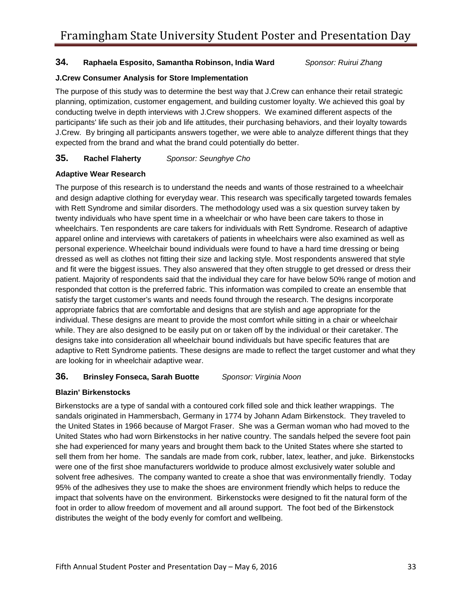#### **34. Raphaela Esposito, Samantha Robinson, India Ward** *Sponsor: Ruirui Zhang*

#### **J.Crew Consumer Analysis for Store Implementation**

 planning, optimization, customer engagement, and building customer loyalty. We achieved this goal by conducting twelve in depth interviews with J.Crew shoppers. We examined different aspects of the J.Crew. By bringing all participants answers together, we were able to analyze different things that they expected from the brand and what the brand could potentially do better. The purpose of this study was to determine the best way that J.Crew can enhance their retail strategic participants' life such as their job and life attitudes, their purchasing behaviors, and their loyalty towards

#### **35. Rachel Flaherty** *Sponsor: Seunghye Cho*

#### **Adaptive Wear Research**

 twenty individuals who have spent time in a wheelchair or who have been care takers to those in wheelchairs. Ten respondents are care takers for individuals with Rett Syndrome. Research of adaptive apparel online and interviews with caretakers of patients in wheelchairs were also examined as well as individual. These designs are meant to provide the most comfort while sitting in a chair or wheelchair The purpose of this research is to understand the needs and wants of those restrained to a wheelchair and design adaptive clothing for everyday wear. This research was specifically targeted towards females with Rett Syndrome and similar disorders. The methodology used was a six question survey taken by personal experience. Wheelchair bound individuals were found to have a hard time dressing or being dressed as well as clothes not fitting their size and lacking style. Most respondents answered that style and fit were the biggest issues. They also answered that they often struggle to get dressed or dress their patient. Majority of respondents said that the individual they care for have below 50% range of motion and responded that cotton is the preferred fabric. This information was compiled to create an ensemble that satisfy the target customer's wants and needs found through the research. The designs incorporate appropriate fabrics that are comfortable and designs that are stylish and age appropriate for the while. They are also designed to be easily put on or taken off by the individual or their caretaker. The designs take into consideration all wheelchair bound individuals but have specific features that are adaptive to Rett Syndrome patients. These designs are made to reflect the target customer and what they are looking for in wheelchair adaptive wear.

#### **36. Brinsley Fonseca, Sarah Buotte** *Sponsor: Virginia Noon*

#### **Blazin' Birkenstocks**

 sandals originated in Hammersbach, Germany in 1774 by Johann Adam Birkenstock. They traveled to the United States in 1966 because of Margot Fraser. She was a German woman who had moved to the sell them from her home. The sandals are made from cork, rubber, latex, leather, and juke. Birkenstocks Birkenstocks are a type of sandal with a contoured cork filled sole and thick leather wrappings. The United States who had worn Birkenstocks in her native country. The sandals helped the severe foot pain she had experienced for many years and brought them back to the United States where she started to were one of the first shoe manufacturers worldwide to produce almost exclusively water soluble and solvent free adhesives. The company wanted to create a shoe that was environmentally friendly. Today 95% of the adhesives they use to make the shoes are environment friendly which helps to reduce the impact that solvents have on the environment. Birkenstocks were designed to fit the natural form of the foot in order to allow freedom of movement and all around support. The foot bed of the Birkenstock distributes the weight of the body evenly for comfort and wellbeing.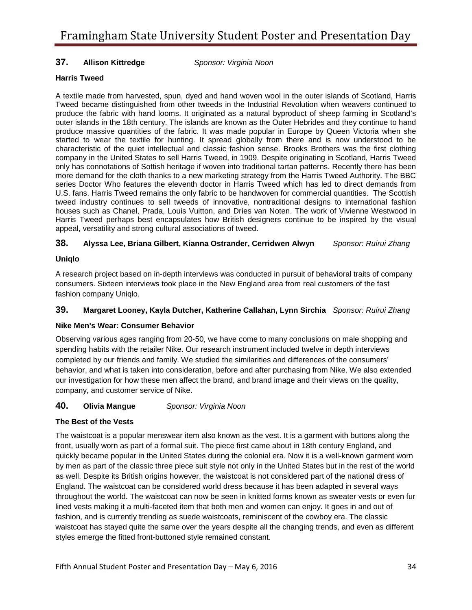#### **Allison Kittredge 37. Allison Kittredge** *Sponsor: Virginia Noon*

#### **Harris Tweed**

 A textile made from harvested, spun, dyed and hand woven wool in the outer islands of Scotland, Harris Tweed became distinguished from other tweeds in the Industrial Revolution when weavers continued to produce the fabric with hand looms. It originated as a natural byproduct of sheep farming in Scotland's only has connotations of Sottish heritage if woven into traditional tartan patterns. Recently there has been series Doctor Who features the eleventh doctor in Harris Tweed which has led to direct demands from houses such as Chanel, Prada, Louis Vuitton, and Dries van Noten. The work of Vivienne Westwood in outer islands in the 18th century. The islands are known as the Outer Hebrides and they continue to hand produce massive quantities of the fabric. It was made popular in Europe by Queen Victoria when she started to wear the textile for hunting. It spread globally from there and is now understood to be characteristic of the quiet intellectual and classic fashion sense. Brooks Brothers was the first clothing company in the United States to sell Harris Tweed, in 1909. Despite originating in Scotland, Harris Tweed more demand for the cloth thanks to a new marketing strategy from the Harris Tweed Authority. The BBC U.S. fans. Harris Tweed remains the only fabric to be handwoven for commercial quantities. The Scottish tweed industry continues to sell tweeds of innovative, nontraditional designs to international fashion Harris Tweed perhaps best encapsulates how British designers continue to be inspired by the visual appeal, versatility and strong cultural associations of tweed.

#### **38. Alyssa Lee, Briana Gilbert, Kianna Ostrander, Cerridwen Alwyn** *Sponsor: Ruirui Zhang*

#### **Uniqlo**

A research project based on in-depth interviews was conducted in pursuit of behavioral traits of company consumers. Sixteen interviews took place in the New England area from real customers of the fast fashion company Uniqlo.

#### 39. **39. Margaret Looney, Kayla Dutcher, Katherine Callahan, Lynn Sirchia** *Sponsor: Ruirui Zhang*

#### **Nike Men's Wear: Consumer Behavior**

 behavior, and what is taken into consideration, before and after purchasing from Nike. We also extended Observing various ages ranging from 20-50, we have come to many conclusions on male shopping and spending habits with the retailer Nike. Our research instrument included twelve in depth interviews completed by our friends and family. We studied the similarities and differences of the consumers' our investigation for how these men affect the brand, and brand image and their views on the quality, company, and customer service of Nike.

#### **Olivia Mangue 40. Olivia Mangue** *Sponsor: Virginia Noon*

#### **The Best of the Vests**

 The waistcoat is a popular menswear item also known as the vest. It is a garment with buttons along the front, usually worn as part of a formal suit. The piece first came about in 18th century England, and by men as part of the classic three piece suit style not only in the United States but in the rest of the world England. The waistcoat can be considered world dress because it has been adapted in several ways throughout the world. The waistcoat can now be seen in knitted forms known as sweater vests or even fur waistcoat has stayed quite the same over the years despite all the changing trends, and even as different quickly became popular in the United States during the colonial era. Now it is a well-known garment worn as well. Despite its British origins however, the waistcoat is not considered part of the national dress of lined vests making it a multi-faceted item that both men and women can enjoy. It goes in and out of fashion, and is currently trending as suede waistcoats, reminiscent of the cowboy era. The classic styles emerge the fitted front-buttoned style remained constant.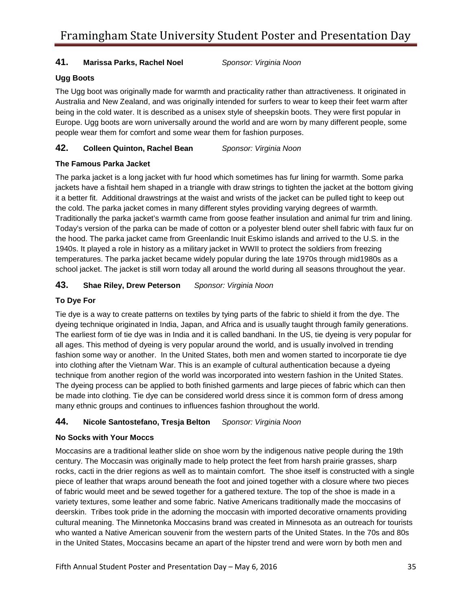### **41. Marissa Parks, Rachel Noel** *Sponsor: Virginia Noon*

### **Ugg Boots**

 Australia and New Zealand, and was originally intended for surfers to wear to keep their feet warm after The Ugg boot was originally made for warmth and practicality rather than attractiveness. It originated in being in the cold water. It is described as a unisex style of sheepskin boots. They were first popular in Europe. Ugg boots are worn universally around the world and are worn by many different people, some people wear them for comfort and some wear them for fashion purposes.

**42. Colleen Quinton, Rachel Bean** *Sponsor: Virginia Noon* 

#### **The Famous Parka Jacket**

 school jacket. The jacket is still worn today all around the world during all seasons throughout the year. The parka jacket is a long jacket with fur hood which sometimes has fur lining for warmth. Some parka jackets have a fishtail hem shaped in a triangle with draw strings to tighten the jacket at the bottom giving it a better fit. Additional drawstrings at the waist and wrists of the jacket can be pulled tight to keep out the cold. The parka jacket comes in many different styles providing varying degrees of warmth. Traditionally the parka jacket's warmth came from goose feather insulation and animal fur trim and lining. Today's version of the parka can be made of cotton or a polyester blend outer shell fabric with faux fur on the hood. The parka jacket came from Greenlandic Inuit Eskimo islands and arrived to the U.S. in the 1940s. It played a role in history as a military jacket in WWII to protect the soldiers from freezing temperatures. The parka jacket became widely popular during the late 1970s through mid1980s as a

### **43. Shae Riley, Drew Peterson** *Sponsor: Virginia Noon*

### **To Dye For**

 The earliest form of tie dye was in India and it is called bandhani. In the US, tie dyeing is very popular for into clothing after the Vietnam War. This is an example of cultural authentication because a dyeing technique from another region of the world was incorporated into western fashion in the United States. Tie dye is a way to create patterns on textiles by tying parts of the fabric to shield it from the dye. The dyeing technique originated in India, Japan, and Africa and is usually taught through family generations. all ages. This method of dyeing is very popular around the world, and is usually involved in trending fashion some way or another. In the United States, both men and women started to incorporate tie dye The dyeing process can be applied to both finished garments and large pieces of fabric which can then be made into clothing. Tie dye can be considered world dress since it is common form of dress among many ethnic groups and continues to influences fashion throughout the world.

#### **44. Nicole Santostefano, Tresja Belton** *Sponsor: Virginia Noon*

#### **No Socks with Your Moccs**

 rocks, cacti in the drier regions as well as to maintain comfort. The shoe itself is constructed with a single piece of leather that wraps around beneath the foot and joined together with a closure where two pieces cultural meaning. The Minnetonka Moccasins brand was created in Minnesota as an outreach for tourists Moccasins are a traditional leather slide on shoe worn by the indigenous native people during the 19th century. The Moccasin was originally made to help protect the feet from harsh prairie grasses, sharp of fabric would meet and be sewed together for a gathered texture. The top of the shoe is made in a variety textures, some leather and some fabric. Native Americans traditionally made the moccasins of deerskin. Tribes took pride in the adorning the moccasin with imported decorative ornaments providing who wanted a Native American souvenir from the western parts of the United States. In the 70s and 80s in the United States, Moccasins became an apart of the hipster trend and were worn by both men and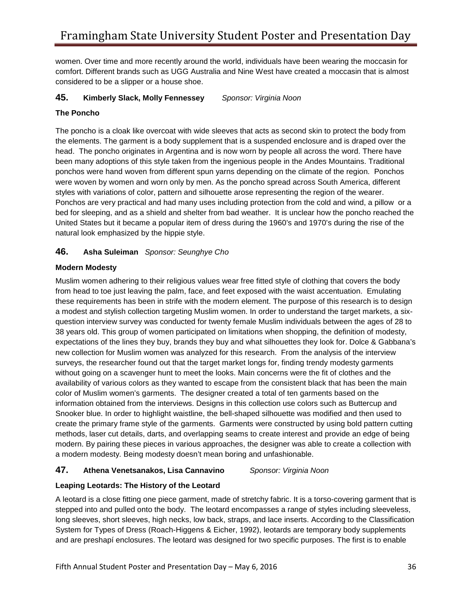comfort. Different brands such as UGG Australia and Nine West have created a moccasin that is almost women. Over time and more recently around the world, individuals have been wearing the moccasin for considered to be a slipper or a house shoe.

### **45. Kimberly Slack, Molly Fennessey** *Sponsor: Virginia Noon*

### **The Poncho**

 ponchos were hand woven from different spun yarns depending on the climate of the region. Ponchos Ponchos are very practical and had many uses including protection from the cold and wind, a pillow or a bed for sleeping, and as a shield and shelter from bad weather. It is unclear how the poncho reached the United States but it became a popular item of dress during the 1960's and 1970's during the rise of the The poncho is a cloak like overcoat with wide sleeves that acts as second skin to protect the body from the elements. The garment is a body supplement that is a suspended enclosure and is draped over the head. The poncho originates in Argentina and is now worn by people all across the word. There have been many adoptions of this style taken from the ingenious people in the Andes Mountains. Traditional were woven by women and worn only by men. As the poncho spread across South America, different styles with variations of color, pattern and silhouette arose representing the region of the wearer. natural look emphasized by the hippie style.

### **46. Asha Suleiman** *Sponsor: Seunghye Cho*

#### **Modern Modesty**

 from head to toe just leaving the palm, face, and feet exposed with the waist accentuation. Emulating without going on a scavenger hunt to meet the looks. Main concerns were the fit of clothes and the color of Muslim women's garments. The designer created a total of ten garments based on the Muslim women adhering to their religious values wear free fitted style of clothing that covers the body these requirements has been in strife with the modern element. The purpose of this research is to design a modest and stylish collection targeting Muslim women. In order to understand the target markets, a sixquestion interview survey was conducted for twenty female Muslim individuals between the ages of 28 to 38 years old. This group of women participated on limitations when shopping, the definition of modesty, expectations of the lines they buy, brands they buy and what silhouettes they look for. Dolce & Gabbana's new collection for Muslim women was analyzed for this research. From the analysis of the interview surveys, the researcher found out that the target market longs for, finding trendy modesty garments availability of various colors as they wanted to escape from the consistent black that has been the main information obtained from the interviews. Designs in this collection use colors such as Buttercup and Snooker blue. In order to highlight waistline, the bell-shaped silhouette was modified and then used to create the primary frame style of the garments. Garments were constructed by using bold pattern cutting methods, laser cut details, darts, and overlapping seams to create interest and provide an edge of being modern. By pairing these pieces in various approaches, the designer was able to create a collection with a modern modesty. Being modesty doesn't mean boring and unfashionable.

### **47. Athena Venetsanakos, Lisa Cannavino** *Sponsor: Virginia Noon*

### **Leaping Leotards: The History of the Leotard**

 A leotard is a close fitting one piece garment, made of stretchy fabric. It is a torso-covering garment that is System for Types of Dress (Roach-Higgens & Eicher, 1992), leotards are temporary body supplements stepped into and pulled onto the body. The leotard encompasses a range of styles including sleeveless, long sleeves, short sleeves, high necks, low back, straps, and lace inserts. According to the Classification and are preshapí enclosures. The leotard was designed for two specific purposes. The first is to enable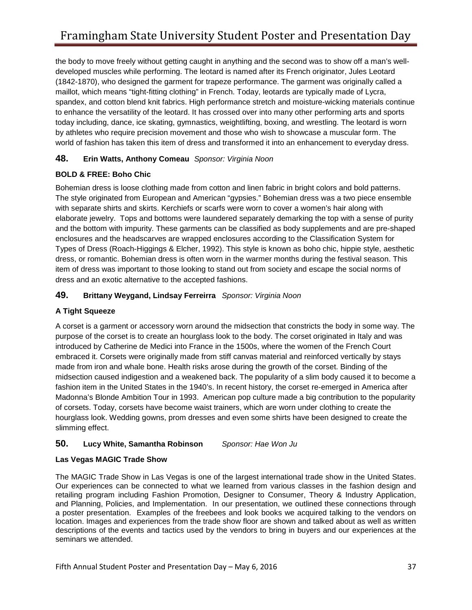the body to move freely without getting caught in anything and the second was to show off a man's well- spandex, and cotton blend knit fabrics. High performance stretch and moisture-wicking materials continue today including, dance, ice skating, gymnastics, weightlifting, boxing, and wrestling. The leotard is worn by athletes who require precision movement and those who wish to showcase a muscular form. The developed muscles while performing. The leotard is named after its French originator, Jules Leotard (1842-1870), who designed the garment for trapeze performance. The garment was originally called a maillot, which means "tight-fitting clothing" in French. Today, leotards are typically made of Lycra, to enhance the versatility of the leotard. It has crossed over into many other performing arts and sports world of fashion has taken this item of dress and transformed it into an enhancement to everyday dress.

### **48. Erin Watts, Anthony Comeau** *Sponsor: Virginia Noon*

### **BOLD & FREE: Boho Chic**

 enclosures and the headscarves are wrapped enclosures according to the Classification System for item of dress was important to those looking to stand out from society and escape the social norms of Bohemian dress is loose clothing made from cotton and linen fabric in bright colors and bold patterns. The style originated from European and American "gypsies." Bohemian dress was a two piece ensemble with separate shirts and skirts. Kerchiefs or scarfs were worn to cover a women's hair along with elaborate jewelry. Tops and bottoms were laundered separately demarking the top with a sense of purity and the bottom with impurity. These garments can be classified as body supplements and are pre-shaped Types of Dress (Roach-Higgings & Elcher, 1992). This style is known as boho chic, hippie style, aesthetic dress, or romantic. Bohemian dress is often worn in the warmer months during the festival season. This dress and an exotic alternative to the accepted fashions.

### **49. Brittany Weygand, Lindsay Ferreirra** *Sponsor: Virginia Noon*

#### **A Tight Squeeze**

 purpose of the corset is to create an hourglass look to the body. The corset originated in Italy and was A corset is a garment or accessory worn around the midsection that constricts the body in some way. The introduced by Catherine de Medici into France in the 1500s, where the women of the French Court embraced it. Corsets were originally made from stiff canvas material and reinforced vertically by stays made from iron and whale bone. Health risks arose during the growth of the corset. Binding of the midsection caused indigestion and a weakened back. The popularity of a slim body caused it to become a fashion item in the United States in the 1940's. In recent history, the corset re-emerged in America after Madonna's Blonde Ambition Tour in 1993. American pop culture made a big contribution to the popularity of corsets. Today, corsets have become waist trainers, which are worn under clothing to create the hourglass look. Wedding gowns, prom dresses and even some shirts have been designed to create the slimming effect.

#### **50. Lucy White, Samantha Robinson** *Sponsor: Hae Won Ju*

#### **Las Vegas MAGIC Trade Show**

 and Planning, Policies, and Implementation. In our presentation, we outlined these connections through a poster presentation. Examples of the freebees and look books we acquired talking to the vendors on descriptions of the events and tactics used by the vendors to bring in buyers and our experiences at the The MAGIC Trade Show in Las Vegas is one of the largest international trade show in the United States. Our experiences can be connected to what we learned from various classes in the fashion design and retailing program including Fashion Promotion, Designer to Consumer, Theory & Industry Application, location. Images and experiences from the trade show floor are shown and talked about as well as written seminars we attended.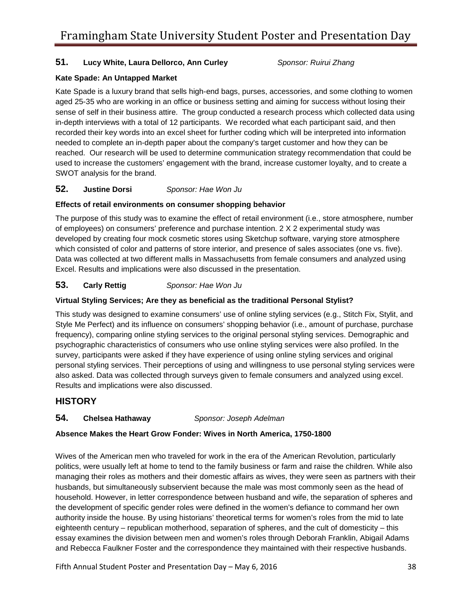### **51. Lucy White, Laura Dellorco, Ann Curley** *Sponsor: Ruirui Zhang*

#### **Kate Spade: An Untapped Market**

 in-depth interviews with a total of 12 participants. We recorded what each participant said, and then Kate Spade is a luxury brand that sells high-end bags, purses, accessories, and some clothing to women aged 25-35 who are working in an office or business setting and aiming for success without losing their sense of self in their business attire. The group conducted a research process which collected data using recorded their key words into an excel sheet for further coding which will be interpreted into information needed to complete an in-depth paper about the company's target customer and how they can be reached. Our research will be used to determine communication strategy recommendation that could be used to increase the customers' engagement with the brand, increase customer loyalty, and to create a SWOT analysis for the brand.

#### **Justine Dorsi 52. Justine Dorsi** *Sponsor: Hae Won Ju*

#### **Effects of retail environments on consumer shopping behavior**

 of employees) on consumers' preference and purchase intention. 2 X 2 experimental study was Excel. Results and implications were also discussed in the presentation. The purpose of this study was to examine the effect of retail environment (i.e., store atmosphere, number developed by creating four mock cosmetic stores using Sketchup software, varying store atmosphere which consisted of color and patterns of store interior, and presence of sales associates (one vs. five). Data was collected at two different malls in Massachusetts from female consumers and analyzed using

#### **Carly Rettig 53. Carly Rettig** *Sponsor: Hae Won Ju*

#### **Virtual Styling Services; Are they as beneficial as the traditional Personal Stylist?**

 This study was designed to examine consumers' use of online styling services (e.g., Stitch Fix, Stylit, and Style Me Perfect) and its influence on consumers' shopping behavior (i.e., amount of purchase, purchase frequency), comparing online styling services to the original personal styling services. Demographic and psychographic characteristics of consumers who use online styling services were also profiled. In the survey, participants were asked if they have experience of using online styling services and original personal styling services. Their perceptions of using and willingness to use personal styling services were also asked. Data was collected through surveys given to female consumers and analyzed using excel. Results and implications were also discussed.

#### **HISTORY**

#### **Chelsea Hathaway 54. Chelsea Hathaway** *Sponsor: Joseph Adelman*

#### **Absence Makes the Heart Grow Fonder: Wives in North America, 1750-1800**

 politics, were usually left at home to tend to the family business or farm and raise the children. While also managing their roles as mothers and their domestic affairs as wives, they were seen as partners with their authority inside the house. By using historians' theoretical terms for women's roles from the mid to late essay examines the division between men and women's roles through Deborah Franklin, Abigail Adams Wives of the American men who traveled for work in the era of the American Revolution, particularly husbands, but simultaneously subservient because the male was most commonly seen as the head of household. However, in letter correspondence between husband and wife, the separation of spheres and the development of specific gender roles were defined in the women's defiance to command her own eighteenth century – republican motherhood, separation of spheres, and the cult of domesticity – this and Rebecca Faulkner Foster and the correspondence they maintained with their respective husbands.

Fifth Annual Student Poster and Presentation Day – May 6, 2016 38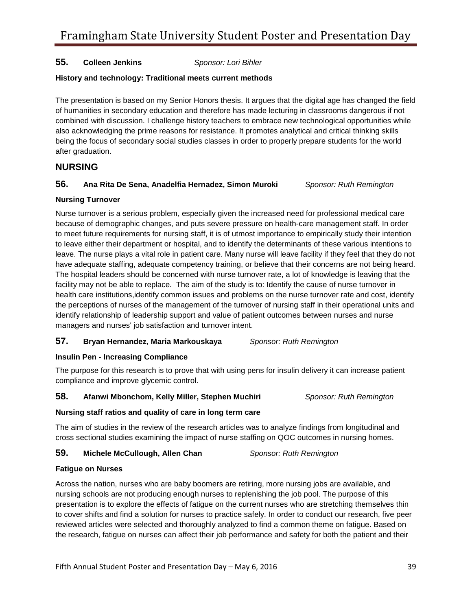#### **Colleen Jenkins 55. Colleen Jenkins** *Sponsor: Lori Bihler*

#### **History and technology: Traditional meets current methods**

The presentation is based on my Senior Honors thesis. It argues that the digital age has changed the field of humanities in secondary education and therefore has made lecturing in classrooms dangerous if not combined with discussion. I challenge history teachers to embrace new technological opportunities while also acknowledging the prime reasons for resistance. It promotes analytical and critical thinking skills being the focus of secondary social studies classes in order to properly prepare students for the world after graduation.

#### **NURSING**

#### **56. Ana Rita De Sena, Anadelfia Hernadez, Simon Muroki** *Sponsor: Ruth Remington*

#### **Nursing Turnover**

 leave. The nurse plays a vital role in patient care. Many nurse will leave facility if they feel that they do not have adequate staffing, adequate competency training, or believe that their concerns are not being heard. facility may not be able to replace. The aim of the study is to: Identify the cause of nurse turnover in Nurse turnover is a serious problem, especially given the increased need for professional medical care because of demographic changes, and puts severe pressure on health-care management staff. In order to meet future requirements for nursing staff, it is of utmost importance to empirically study their intention to leave either their department or hospital, and to identify the determinants of these various intentions to The hospital leaders should be concerned with nurse turnover rate, a lot of knowledge is leaving that the health care institutions,identify common issues and problems on the nurse turnover rate and cost, identify the perceptions of nurses of the management of the turnover of nursing staff in their operational units and identify relationship of leadership support and value of patient outcomes between nurses and nurse managers and nurses' job satisfaction and turnover intent.

#### **57. Bryan Hernandez, Maria Markouskaya** *Sponsor: Ruth Remington*

#### **Insulin Pen - Increasing Compliance**

The purpose for this research is to prove that with using pens for insulin delivery it can increase patient compliance and improve glycemic control.

#### **58. Afanwi Mbonchom, Kelly Miller, Stephen Muchiri** *Sponsor: Ruth Remington*

#### **Nursing staff ratios and quality of care in long term care**

 cross sectional studies examining the impact of nurse staffing on QOC outcomes in nursing homes. The aim of studies in the review of the research articles was to analyze findings from longitudinal and

#### **59. Michele McCullough, Allen Chan** *Sponsor: Ruth Remington*

#### **Fatigue on Nurses**

 Across the nation, nurses who are baby boomers are retiring, more nursing jobs are available, and nursing schools are not producing enough nurses to replenishing the job pool. The purpose of this presentation is to explore the effects of fatigue on the current nurses who are stretching themselves thin to cover shifts and find a solution for nurses to practice safely. In order to conduct our research, five peer reviewed articles were selected and thoroughly analyzed to find a common theme on fatigue. Based on the research, fatigue on nurses can affect their job performance and safety for both the patient and their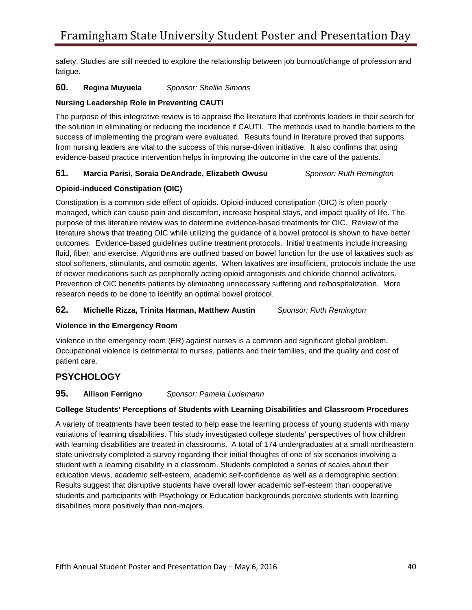fatigue. safety. Studies are still needed to explore the relationship between job burnout/change of profession and

#### **Regina Muyuela 60. Regina Muyuela** *Sponsor: Shellie Simons*

#### **Nursing Leadership Role in Preventing CAUTI**

 from nursing leaders are vital to the success of this nurse-driven initiative. It also confirms that using The purpose of this integrative review is to appraise the literature that confronts leaders in their search for the solution in eliminating or reducing the incidence if CAUTI. The methods used to handle barriers to the success of implementing the program were evaluated. Results found in literature proved that supports evidence-based practice intervention helps in improving the outcome in the care of the patients.

#### **61. Marcia Parisi, Soraia DeAndrade, Elizabeth Owusu** *Sponsor: Ruth Remington*

#### **Opioid-induced Constipation (OIC)**

 stool softeners, stimulants, and osmotic agents. When laxatives are insufficient, protocols include the use of newer medications such as peripherally acting opioid antagonists and chloride channel activators. of newer medications such as peripherally acting opioid antagonists and chloride channel activators.<br>Prevention of OIC benefits patients by eliminating unnecessary suffering and re/hospitalization. More Constipation is a common side effect of opioids. Opioid-induced constipation (OIC) is often poorly managed, which can cause pain and discomfort, increase hospital stays, and impact quality of life. The purpose of this literature review was to determine evidence-based treatments for OIC. Review of the literature shows that treating OIC while utilizing the guidance of a bowel protocol is shown to have better outcomes. Evidence-based guidelines outline treatment protocols. Initial treatments include increasing fluid, fiber, and exercise. Algorithms are outlined based on bowel function for the use of laxatives such as research needs to be done to identify an optimal bowel protocol.

#### **62. Michelle Rizza, Trinita Harman, Matthew Austin** *Sponsor: Ruth Remington*

#### **Violence in the Emergency Room**

 Occupational violence is detrimental to nurses, patients and their families, and the quality and cost of Violence in the emergency room (ER) against nurses is a common and significant global problem. patient care.

### **PSYCHOLOGY**

#### **Allison Ferrigno 95. Allison Ferrigno** *Sponsor: Pamela Ludemann*

#### **College Students' Perceptions of Students with Learning Disabilities and Classroom Procedures**

 A variety of treatments have been tested to help ease the learning process of young students with many student with a learning disability in a classroom. Students completed a series of scales about their education views, academic self-esteem, academic self-confidence as well as a demographic section. variations of learning disabilities. This study investigated college students' perspectives of how children with learning disabilities are treated in classrooms. A total of 174 undergraduates at a small northeastern state university completed a survey regarding their initial thoughts of one of six scenarios involving a Results suggest that disruptive students have overall lower academic self-esteem than cooperative students and participants with Psychology or Education backgrounds perceive students with learning disabilities more positively than non-majors.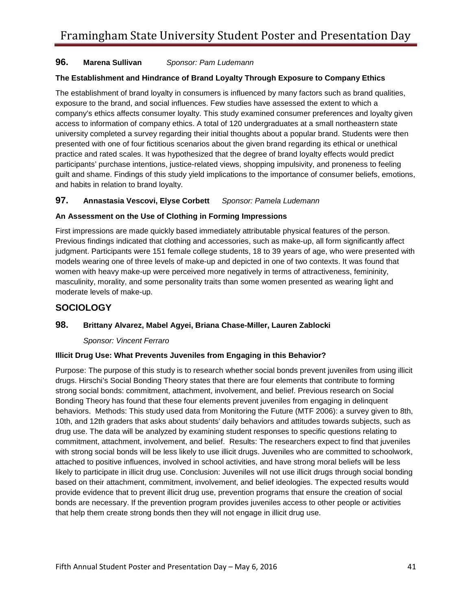#### **Marena Sullivan 96. Marena Sullivan** *Sponsor: Pam Ludemann*

#### **The Establishment and Hindrance of Brand Loyalty Through Exposure to Company Ethics**

The establishment of brand loyalty in consumers is influenced by many factors such as brand qualities, exposure to the brand, and social influences. Few studies have assessed the extent to which a company's ethics affects consumer loyalty. This study examined consumer preferences and loyalty given access to information of company ethics. A total of 120 undergraduates at a small northeastern state university completed a survey regarding their initial thoughts about a popular brand. Students were then presented with one of four fictitious scenarios about the given brand regarding its ethical or unethical practice and rated scales. It was hypothesized that the degree of brand loyalty effects would predict participants' purchase intentions, justice-related views, shopping impulsivity, and proneness to feeling guilt and shame. Findings of this study yield implications to the importance of consumer beliefs, emotions, and habits in relation to brand loyalty.

### **97. Annastasia Vescovi, Elyse Corbett** *Sponsor: Pamela Ludemann*

### **An Assessment on the Use of Clothing in Forming Impressions**

 Previous findings indicated that clothing and accessories, such as make-up, all form significantly affect masculinity, morality, and some personality traits than some women presented as wearing light and First impressions are made quickly based immediately attributable physical features of the person. judgment. Participants were 151 female college students, 18 to 39 years of age, who were presented with models wearing one of three levels of make-up and depicted in one of two contexts. It was found that women with heavy make-up were perceived more negatively in terms of attractiveness, femininity, moderate levels of make-up.

### **SOCIOLOGY**

### **98. Brittany Alvarez, Mabel Agyei, Briana Chase-Miller, Lauren Zablocki**

#### *Sponsor: Vincent Ferraro*

#### **Illicit Drug Use: What Prevents Juveniles from Engaging in this Behavior?**

 with strong social bonds will be less likely to use illicit drugs. Juveniles who are committed to schoolwork, likely to participate in illicit drug use. Conclusion: Juveniles will not use illicit drugs through social bonding provide evidence that to prevent illicit drug use, prevention programs that ensure the creation of social that help them create strong bonds then they will not engage in illicit drug use. Purpose: The purpose of this study is to research whether social bonds prevent juveniles from using illicit drugs. Hirschi's Social Bonding Theory states that there are four elements that contribute to forming strong social bonds: commitment, attachment, involvement, and belief. Previous research on Social Bonding Theory has found that these four elements prevent juveniles from engaging in delinquent behaviors. Methods: This study used data from Monitoring the Future (MTF 2006): a survey given to 8th, 10th, and 12th graders that asks about students' daily behaviors and attitudes towards subjects, such as drug use. The data will be analyzed by examining student responses to specific questions relating to commitment, attachment, involvement, and belief. Results: The researchers expect to find that juveniles attached to positive influences, involved in school activities, and have strong moral beliefs will be less based on their attachment, commitment, involvement, and belief ideologies. The expected results would bonds are necessary. If the prevention program provides juveniles access to other people or activities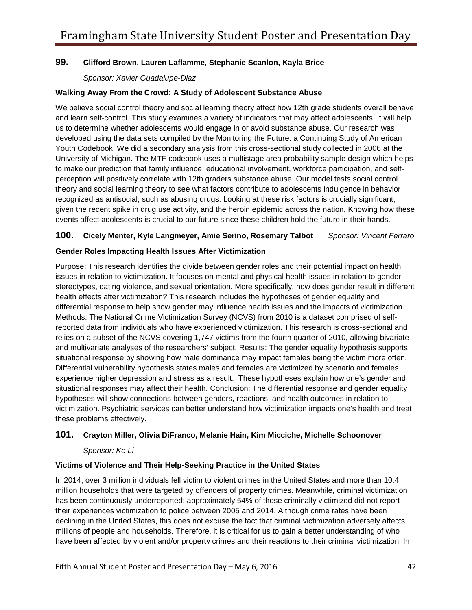### **99. Clifford Brown, Lauren Laflamme, Stephanie Scanlon, Kayla Brice**

*Sponsor: Xavier Guadalupe-Diaz* 

#### **Walking Away From the Crowd: A Study of Adolescent Substance Abuse**

We believe social control theory and social learning theory affect how 12th grade students overall behave and learn self-control. This study examines a variety of indicators that may affect adolescents. It will help us to determine whether adolescents would engage in or avoid substance abuse. Our research was developed using the data sets compiled by the Monitoring the Future: a Continuing Study of American Youth Codebook. We did a secondary analysis from this cross-sectional study collected in 2006 at the University of Michigan. The MTF codebook uses a multistage area probability sample design which helps to make our prediction that family influence, educational involvement, workforce participation, and selfperception will positively correlate with 12th graders substance abuse. Our model tests social control theory and social learning theory to see what factors contribute to adolescents indulgence in behavior recognized as antisocial, such as abusing drugs. Looking at these risk factors is crucially significant, given the recent spike in drug use activity, and the heroin epidemic across the nation. Knowing how these events affect adolescents is crucial to our future since these children hold the future in their hands.

### **100. Cicely Menter, Kyle Langmeyer, Amie Serino, Rosemary Talbot** *Sponsor: Vincent Ferraro*

#### **Gender Roles Impacting Health Issues After Victimization**

 stereotypes, dating violence, and sexual orientation. More specifically, how does gender result in different experience higher depression and stress as a result. These hypotheses explain how one's gender and situational responses may affect their health. Conclusion: The differential response and gender equality Purpose: This research identifies the divide between gender roles and their potential impact on health issues in relation to victimization. It focuses on mental and physical health issues in relation to gender health effects after victimization? This research includes the hypotheses of gender equality and differential response to help show gender may influence health issues and the impacts of victimization. Methods: The National Crime Victimization Survey (NCVS) from 2010 is a dataset comprised of selfreported data from individuals who have experienced victimization. This research is cross-sectional and relies on a subset of the NCVS covering 1,747 victims from the fourth quarter of 2010, allowing bivariate and multivariate analyses of the researchers' subject. Results: The gender equality hypothesis supports situational response by showing how male dominance may impact females being the victim more often. Differential vulnerability hypothesis states males and females are victimized by scenario and females hypotheses will show connections between genders, reactions, and health outcomes in relation to victimization. Psychiatric services can better understand how victimization impacts one's health and treat these problems effectively.

#### **101. Crayton Miller, Olivia DiFranco, Melanie Hain, Kim Micciche, Michelle Schoonover**

#### *Sponsor: Ke Li*

#### **Victims of Violence and Their Help-Seeking Practice in the United States**

 million households that were targeted by offenders of property crimes. Meanwhile, criminal victimization In 2014, over 3 million individuals fell victim to violent crimes in the United States and more than 10.4 has been continuously underreported: approximately 54% of those criminally victimized did not report their experiences victimization to police between 2005 and 2014. Although crime rates have been declining in the United States, this does not excuse the fact that criminal victimization adversely affects millions of people and households. Therefore, it is critical for us to gain a better understanding of who have been affected by violent and/or property crimes and their reactions to their criminal victimization. In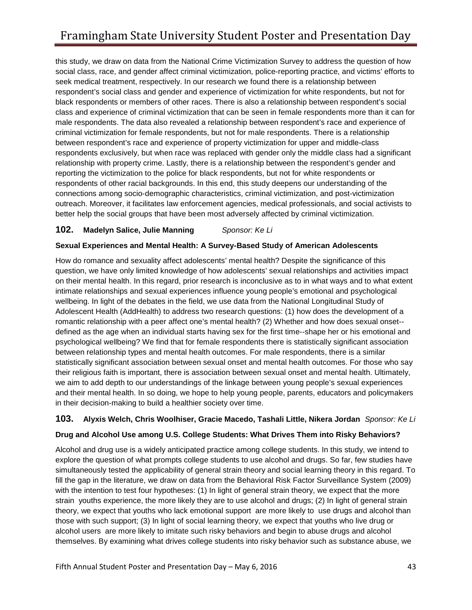outreach. Moreover, it facilitates law enforcement agencies, medical professionals, and social activists to this study, we draw on data from the National Crime Victimization Survey to address the question of how social class, race, and gender affect criminal victimization, police-reporting practice, and victims' efforts to seek medical treatment, respectively. In our research we found there is a relationship between respondent's social class and gender and experience of victimization for white respondents, but not for black respondents or members of other races. There is also a relationship between respondent's social class and experience of criminal victimization that can be seen in female respondents more than it can for male respondents. The data also revealed a relationship between respondent's race and experience of criminal victimization for female respondents, but not for male respondents. There is a relationship between respondent's race and experience of property victimization for upper and middle-class respondents exclusively, but when race was replaced with gender only the middle class had a significant relationship with property crime. Lastly, there is a relationship between the respondent's gender and reporting the victimization to the police for black respondents, but not for white respondents or respondents of other racial backgrounds. In this end, this study deepens our understanding of the connections among socio-demographic characteristics, criminal victimization, and post-victimization better help the social groups that have been most adversely affected by criminal victimization.

### **102. Madelyn Salice, Julie Manning** *Sponsor: Ke Li*

#### **Sexual Experiences and Mental Health: A Survey-Based Study of American Adolescents**

 question, we have only limited knowledge of how adolescents' sexual relationships and activities impact on their mental health. In this regard, prior research is inconclusive as to in what ways and to what extent wellbeing. In light of the debates in the field, we use data from the National Longitudinal Study of Adolescent Health (AddHealth) to address two research questions: (1) how does the development of a between relationship types and mental health outcomes. For male respondents, there is a similar their religious faith is important, there is association between sexual onset and mental health. Ultimately, How do romance and sexuality affect adolescents' mental health? Despite the significance of this intimate relationships and sexual experiences influence young people's emotional and psychological romantic relationship with a peer affect one's mental health? (2) Whether and how does sexual onset defined as the age when an individual starts having sex for the first time--shape her or his emotional and psychological wellbeing? We find that for female respondents there is statistically significant association statistically significant association between sexual onset and mental health outcomes. For those who say we aim to add depth to our understandings of the linkage between young people's sexual experiences and their mental health. In so doing, we hope to help young people, parents, educators and policymakers in their decision-making to build a healthier society over time.

#### **103. Alyxis Welch, Chris Woolhiser, Gracie Macedo, Tashali Little, Nikera Jordan** *Sponsor: Ke Li*

#### **Drug and Alcohol Use among U.S. College Students: What Drives Them into Risky Behaviors?**

 explore the question of what prompts college students to use alcohol and drugs. So far, few studies have fill the gap in the literature, we draw on data from the Behavioral Risk Factor Surveillance System (2009) Alcohol and drug use is a widely anticipated practice among college students. In this study, we intend to simultaneously tested the applicability of general strain theory and social learning theory in this regard. To with the intention to test four hypotheses: (1) In light of general strain theory, we expect that the more strain youths experience, the more likely they are to use alcohol and drugs; (2) In light of general strain theory, we expect that youths who lack emotional support are more likely to use drugs and alcohol than those with such support; (3) In light of social learning theory, we expect that youths who live drug or alcohol users are more likely to imitate such risky behaviors and begin to abuse drugs and alcohol themselves. By examining what drives college students into risky behavior such as substance abuse, we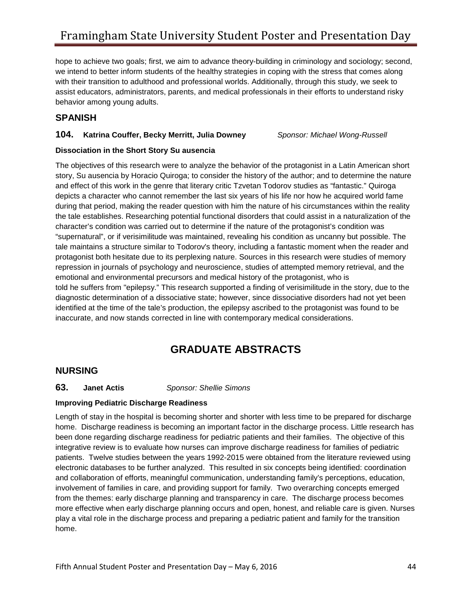behavior among young adults. hope to achieve two goals; first, we aim to advance theory-building in criminology and sociology; second, we intend to better inform students of the healthy strategies in coping with the stress that comes along with their transition to adulthood and professional worlds. Additionally, through this study, we seek to assist educators, administrators, parents, and medical professionals in their efforts to understand risky

### **SPANISH**

### **104. Katrina Couffer, Becky Merritt, Julia Downey** *Sponsor: Michael Wong-Russell*

#### **Dissociation in the Short Story Su ausencia**

 depicts a character who cannot remember the last six years of his life nor how he acquired world fame character's condition was carried out to determine if the nature of the protagonist's condition was emotional and environmental precursors and medical history of the protagonist, who is told he suffers from "epilepsy." This research supported a finding of verisimilitude in the story, due to the diagnostic determination of a dissociative state; however, since dissociative disorders had not yet been identified at the time of the tale's production, the epilepsy ascribed to the protagonist was found to be The objectives of this research were to analyze the behavior of the protagonist in a Latin American short story, Su ausencia by Horacio Quiroga; to consider the history of the author; and to determine the nature and effect of this work in the genre that literary critic Tzvetan Todorov studies as "fantastic." Quiroga during that period, making the reader question with him the nature of his circumstances within the reality the tale establishes. Researching potential functional disorders that could assist in a naturalization of the "supernatural", or if verisimilitude was maintained, revealing his condition as uncanny but possible. The tale maintains a structure similar to Todorov's theory, including a fantastic moment when the reader and protagonist both hesitate due to its perplexing nature. Sources in this research were studies of memory repression in journals of psychology and neuroscience, studies of attempted memory retrieval, and the inaccurate, and now stands corrected in line with contemporary medical considerations.

## **GRADUATE ABSTRACTS**

### **NURSING**

#### **Janet Actis 63. Janet Actis** *Sponsor: Shellie Simons*

#### **Improving Pediatric Discharge Readiness**

 Length of stay in the hospital is becoming shorter and shorter with less time to be prepared for discharge home. home. Discharge readiness is becoming an important factor in the discharge process. Little research has been done regarding discharge readiness for pediatric patients and their families. The objective of this integrative review is to evaluate how nurses can improve discharge readiness for families of pediatric patients. Twelve studies between the years 1992-2015 were obtained from the literature reviewed using electronic databases to be further analyzed. This resulted in six concepts being identified: coordination and collaboration of efforts, meaningful communication, understanding family's perceptions, education, involvement of families in care, and providing support for family. Two overarching concepts emerged from the themes: early discharge planning and transparency in care. The discharge process becomes more effective when early discharge planning occurs and open, honest, and reliable care is given. Nurses play a vital role in the discharge process and preparing a pediatric patient and family for the transition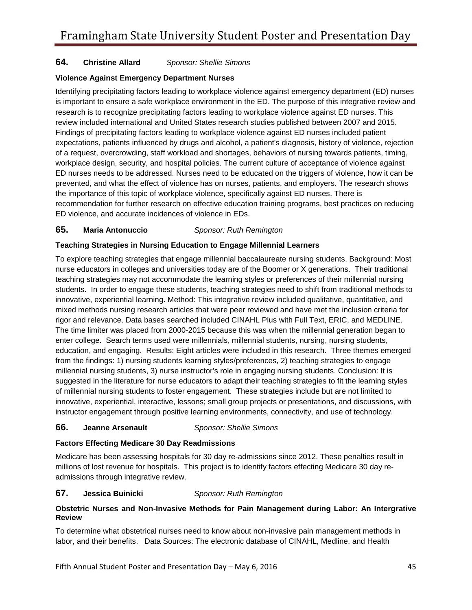#### **Christine Allard 64. Christine Allard** *Sponsor: Shellie Simons*

#### **Violence Against Emergency Department Nurses**

 expectations, patients influenced by drugs and alcohol, a patient's diagnosis, history of violence, rejection ED violence, and accurate incidences of violence in EDs. Identifying precipitating factors leading to workplace violence against emergency department (ED) nurses is important to ensure a safe workplace environment in the ED. The purpose of this integrative review and research is to recognize precipitating factors leading to workplace violence against ED nurses. This review included international and United States research studies published between 2007 and 2015. Findings of precipitating factors leading to workplace violence against ED nurses included patient of a request, overcrowding, staff workload and shortages, behaviors of nursing towards patients, timing, workplace design, security, and hospital policies. The current culture of acceptance of violence against ED nurses needs to be addressed. Nurses need to be educated on the triggers of violence, how it can be prevented, and what the effect of violence has on nurses, patients, and employers. The research shows the importance of this topic of workplace violence, specifically against ED nurses. There is recommendation for further research on effective education training programs, best practices on reducing

#### **Maria Antonuccio 65. Maria Antonuccio** *Sponsor: Ruth Remington*

### **Teaching Strategies in Nursing Education to Engage Millennial Learners**

 nurse educators in colleges and universities today are of the Boomer or X generations. Their traditional The time limiter was placed from 2000-2015 because this was when the millennial generation began to education, and engaging. Results: Eight articles were included in this research. Three themes emerged millennial nursing students, 3) nurse instructor's role in engaging nursing students. Conclusion: It is of millennial nursing students to foster engagement. These strategies include but are not limited to innovative, experiential, interactive, lessons; small group projects or presentations, and discussions, with To explore teaching strategies that engage millennial baccalaureate nursing students. Background: Most teaching strategies may not accommodate the learning styles or preferences of their millennial nursing students. In order to engage these students, teaching strategies need to shift from traditional methods to innovative, experiential learning. Method: This integrative review included qualitative, quantitative, and mixed methods nursing research articles that were peer reviewed and have met the inclusion criteria for rigor and relevance. Data bases searched included CINAHL Plus with Full Text, ERIC, and MEDLINE. enter college. Search terms used were millennials, millennial students, nursing, nursing students, from the findings: 1) nursing students learning styles/preferences, 2) teaching strategies to engage suggested in the literature for nurse educators to adapt their teaching strategies to fit the learning styles instructor engagement through positive learning environments, connectivity, and use of technology.

#### **Jeanne Arsenault 66. Jeanne Arsenault** *Sponsor: Shellie Simons*

#### **Factors Effecting Medicare 30 Day Readmissions**

 admissions through integrative review. Medicare has been assessing hospitals for 30 day re-admissions since 2012. These penalties result in millions of lost revenue for hospitals. This project is to identify factors effecting Medicare 30 day re-

#### Jessica Buinicki **67. Jessica Buinicki** *Sponsor: Ruth Remington*

#### **Obstetric Nurses and Non-Invasive Methods for Pain Management during Labor: An Intergrative Review**

 labor, and their benefits. Data Sources: The electronic database of CINAHL, Medline, and Health To determine what obstetrical nurses need to know about non-invasive pain management methods in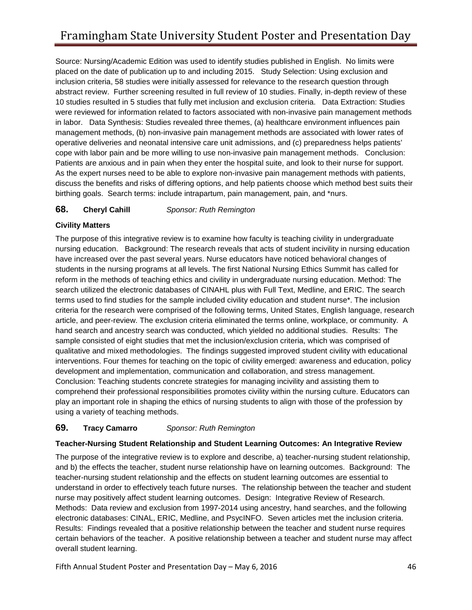placed on the date of publication up to and including 2015. Study Selection: Using exclusion and 10 studies resulted in 5 studies that fully met inclusion and exclusion criteria. Data Extraction: Studies were reviewed for information related to factors associated with non-invasive pain management methods management methods, (b) non-invasive pain management methods are associated with lower rates of Patients are anxious and in pain when they enter the hospital suite, and look to their nurse for support. birthing goals. Search terms: include intrapartum, pain management, pain, and \*nurs. Source: Nursing/Academic Edition was used to identify studies published in English. No limits were inclusion criteria, 58 studies were initially assessed for relevance to the research question through abstract review. Further screening resulted in full review of 10 studies. Finally, in-depth review of these in labor. Data Synthesis: Studies revealed three themes, (a) healthcare environment influences pain operative deliveries and neonatal intensive care unit admissions, and (c) preparedness helps patients' cope with labor pain and be more willing to use non-invasive pain management methods. Conclusion: As the expert nurses need to be able to explore non-invasive pain management methods with patients, discuss the benefits and risks of differing options, and help patients choose which method best suits their

#### **Cheryl Cahill 68. Cheryl Cahill** *Sponsor: Ruth Remington*

### **Civility Matters**

 nursing education. Background: The research reveals that acts of student incivility in nursing education have increased over the past several years. Nurse educators have noticed behavioral changes of article, and peer-review. The exclusion criteria eliminated the terms online, workplace, or community. A hand search and ancestry search was conducted, which yielded no additional studies. Results: The qualitative and mixed methodologies. The findings suggested improved student civility with educational development and implementation, communication and collaboration, and stress management. comprehend their professional responsibilities promotes civility within the nursing culture. Educators can using a variety of teaching methods. The purpose of this integrative review is to examine how faculty is teaching civility in undergraduate students in the nursing programs at all levels. The first National Nursing Ethics Summit has called for reform in the methods of teaching ethics and civility in undergraduate nursing education. Method: The search utilized the electronic databases of CINAHL plus with Full Text, Medline, and ERIC. The search terms used to find studies for the sample included civility education and student nurse\*. The inclusion criteria for the research were comprised of the following terms, United States, English language, research sample consisted of eight studies that met the inclusion/exclusion criteria, which was comprised of interventions. Four themes for teaching on the topic of civility emerged: awareness and education, policy Conclusion: Teaching students concrete strategies for managing incivility and assisting them to play an important role in shaping the ethics of nursing students to align with those of the profession by

#### **Tracy Camarro 69. Tracy Camarro** *Sponsor: Ruth Remington*

#### **Teacher-Nursing Student Relationship and Student Learning Outcomes: An Integrative Review**

 understand in order to effectively teach future nurses. The relationship between the teacher and student nurse may positively affect student learning outcomes. Design: Integrative Review of Research. electronic databases: CINAL, ERIC, Medline, and PsycINFO. Seven articles met the inclusion criteria. overall student learning. The purpose of the integrative review is to explore and describe, a) teacher-nursing student relationship, and b) the effects the teacher, student nurse relationship have on learning outcomes. Background: The teacher-nursing student relationship and the effects on student learning outcomes are essential to Methods: Data review and exclusion from 1997-2014 using ancestry, hand searches, and the following Results: Findings revealed that a positive relationship between the teacher and student nurse requires certain behaviors of the teacher. A positive relationship between a teacher and student nurse may affect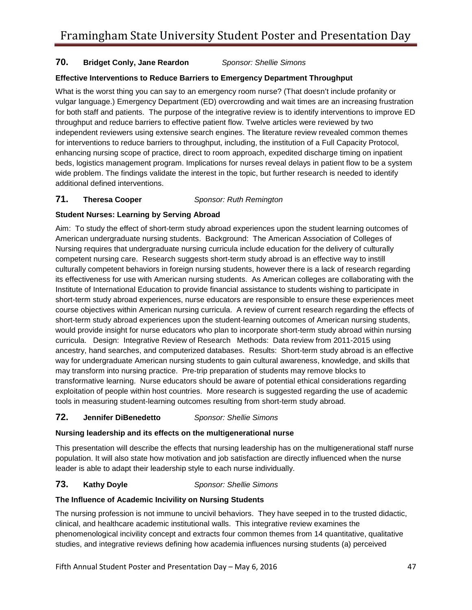### **70. Bridget Conly, Jane Reardon** *Sponsor: Shellie Simons*

### **Effective Interventions to Reduce Barriers to Emergency Department Throughput**

 What is the worst thing you can say to an emergency room nurse? (That doesn't include profanity or vulgar language.) Emergency Department (ED) overcrowding and wait times are an increasing frustration for both staff and patients. The purpose of the integrative review is to identify interventions to improve ED for interventions to reduce barriers to throughput, including, the institution of a Full Capacity Protocol, beds, logistics management program. Implications for nurses reveal delays in patient flow to be a system throughput and reduce barriers to effective patient flow. Twelve articles were reviewed by two independent reviewers using extensive search engines. The literature review revealed common themes enhancing nursing scope of practice, direct to room approach, expedited discharge timing on inpatient wide problem. The findings validate the interest in the topic, but further research is needed to identify additional defined interventions.

#### **Theresa Cooper 71. Theresa Cooper** *Sponsor: Ruth Remington*

### **Student Nurses: Learning by Serving Abroad**

 competent nursing care. Research suggests short-term study abroad is an effective way to instill course objectives within American nursing curricula. A review of current research regarding the effects of curricula. Design: Integrative Review of Research Methods: Data review from 2011-2015 using ancestry, hand searches, and computerized databases. Results: Short-term study abroad is an effective may transform into nursing practice. Pre-trip preparation of students may remove blocks to tools in measuring student-learning outcomes resulting from short-term study abroad. Aim: To study the effect of short-term study abroad experiences upon the student learning outcomes of American undergraduate nursing students. Background: The American Association of Colleges of Nursing requires that undergraduate nursing curricula include education for the delivery of culturally culturally competent behaviors in foreign nursing students, however there is a lack of research regarding its effectiveness for use with American nursing students. As American colleges are collaborating with the Institute of International Education to provide financial assistance to students wishing to participate in short-term study abroad experiences, nurse educators are responsible to ensure these experiences meet short-term study abroad experiences upon the student-learning outcomes of American nursing students, would provide insight for nurse educators who plan to incorporate short-term study abroad within nursing way for undergraduate American nursing students to gain cultural awareness, knowledge, and skills that transformative learning. Nurse educators should be aware of potential ethical considerations regarding exploitation of people within host countries. More research is suggested regarding the use of academic

#### **Jennifer DiBenedetto 72. Jennifer DiBenedetto** *Sponsor: Shellie Simons*

#### **Nursing leadership and its effects on the multigenerational nurse**

This presentation will describe the effects that nursing leadership has on the multigenerational staff nurse population. It will also state how motivation and job satisfaction are directly influenced when the nurse leader is able to adapt their leadership style to each nurse individually.

#### **Kathy Doyle 73. Kathy Doyle** *Sponsor: Shellie Simons*

#### **The Influence of Academic Incivility on Nursing Students**

The nursing profession is not immune to uncivil behaviors. They have seeped in to the trusted didactic, clinical, and healthcare academic institutional walls. This integrative review examines the phenomenological incivility concept and extracts four common themes from 14 quantitative, qualitative studies, and integrative reviews defining how academia influences nursing students (a) perceived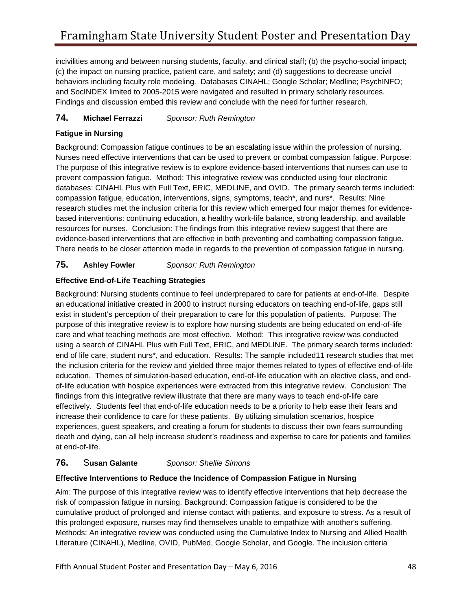behaviors including faculty role modeling. Databases CINAHL; Google Scholar; Medline; PsychINFO; and SocINDEX limited to 2005-2015 were navigated and resulted in primary scholarly resources. and SocINDEX limited to 2005-2015 were navigated and resulted in primary scholarly resources.<br>Findings and discussion embed this review and conclude with the need for further research. incivilities among and between nursing students, faculty, and clinical staff; (b) the psycho-social impact; (c) the impact on nursing practice, patient care, and safety; and (d) suggestions to decrease uncivil

#### **Michael Ferrazzi 74. Michael Ferrazzi** *Sponsor: Ruth Remington*

### **Fatigue in Nursing**

 Nurses need effective interventions that can be used to prevent or combat compassion fatigue. Purpose: based interventions: continuing education, a healthy work-life balance, strong leadership, and available evidence-based interventions that are effective in both preventing and combatting compassion fatigue. evidence-based interventions that are effective in both preventing and combatting compassion fatigue.<br>There needs to be closer attention made in regards to the prevention of compassion fatigue in nursing. Background: Compassion fatigue continues to be an escalating issue within the profession of nursing. The purpose of this integrative review is to explore evidence-based interventions that nurses can use to prevent compassion fatigue. Method: This integrative review was conducted using four electronic databases: CINAHL Plus with Full Text, ERIC, MEDLINE, and OVID. The primary search terms included: compassion fatigue, education, interventions, signs, symptoms, teach\*, and nurs\*. Results: Nine research studies met the inclusion criteria for this review which emerged four major themes for evidenceresources for nurses. Conclusion: The findings from this integrative review suggest that there are

#### **Ashley Fowler 75. Ashley Fowler** *Sponsor: Ruth Remington*

### **Effective End-of-Life Teaching Strategies**

 exist in student's perception of their preparation to care for this population of patients. Purpose: The care and what teaching methods are most effective. Method: This integrative review was conducted using a search of CINAHL Plus with Full Text, ERIC, and MEDLINE. The primary search terms included: effectively. Students feel that end-of-life education needs to be a priority to help ease their fears and increase their confidence to care for these patients. By utilizing simulation scenarios, hospice at end-of-life. Background: Nursing students continue to feel underprepared to care for patients at end-of-life. Despite an educational initiative created in 2000 to instruct nursing educators on teaching end-of-life, gaps still purpose of this integrative review is to explore how nursing students are being educated on end-of-life end of life care, student nurs\*, and education. Results: The sample included11 research studies that met the inclusion criteria for the review and yielded three major themes related to types of effective end-of-life education. Themes of simulation-based education, end-of-life education with an elective class, and endof-life education with hospice experiences were extracted from this integrative review. Conclusion: The findings from this integrative review illustrate that there are many ways to teach end-of-life care experiences, guest speakers, and creating a forum for students to discuss their own fears surrounding death and dying, can all help increase student's readiness and expertise to care for patients and families

#### Susan Galante **76.** S**usan Galante** *Sponsor: Shellie Simons*

### **Effective Interventions to Reduce the Incidence of Compassion Fatigue in Nursing**

Aim: The purpose of this integrative review was to identify effective interventions that help decrease the risk of compassion fatigue in nursing. Background: Compassion fatigue is considered to be the cumulative product of prolonged and intense contact with patients, and exposure to stress. As a result of this prolonged exposure, nurses may find themselves unable to empathize with another's suffering. Methods: An integrative review was conducted using the Cumulative Index to Nursing and Allied Health Literature (CINAHL), Medline, OVID, PubMed, Google Scholar, and Google. The inclusion criteria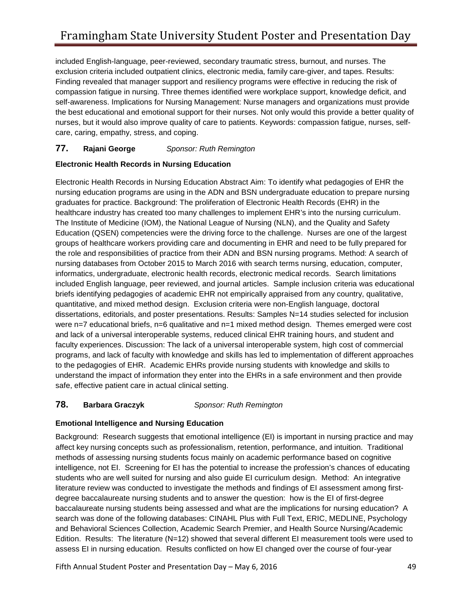care, caring, empathy, stress, and coping. included English-language, peer-reviewed, secondary traumatic stress, burnout, and nurses. The exclusion criteria included outpatient clinics, electronic media, family care-giver, and tapes. Results: Finding revealed that manager support and resiliency programs were effective in reducing the risk of compassion fatigue in nursing. Three themes identified were workplace support, knowledge deficit, and self-awareness. Implications for Nursing Management: Nurse managers and organizations must provide the best educational and emotional support for their nurses. Not only would this provide a better quality of nurses, but it would also improve quality of care to patients. Keywords: compassion fatigue, nurses, self-

#### **Rajani George 77. Rajani George** *Sponsor: Ruth Remington*

### **Electronic Health Records in Nursing Education**

healthcare industry has created too many challenges to implement EHR's into the nursing curriculum. healthcare industry has created too many challenges to implement EHR's into the nursing curriculum.<br>The Institute of Medicine (IOM), the National League of Nursing (NLN), and the Quality and Safety Education (QSEN) competencies were the driving force to the challenge. Nurses are one of the largest included English language, peer reviewed, and journal articles. Sample inclusion criteria was educational quantitative, and mixed method design. Exclusion criteria were non-English language, doctoral understand the impact of information they enter into the EHRs in a safe environment and then provide Electronic Health Records in Nursing Education Abstract Aim: To identify what pedagogies of EHR the nursing education programs are using in the ADN and BSN undergraduate education to prepare nursing graduates for practice. Background: The proliferation of Electronic Health Records (EHR) in the groups of healthcare workers providing care and documenting in EHR and need to be fully prepared for the role and responsibilities of practice from their ADN and BSN nursing programs. Method: A search of nursing databases from October 2015 to March 2016 with search terms nursing, education, computer, informatics, undergraduate, electronic health records, electronic medical records. Search limitations briefs identifying pedagogies of academic EHR not empirically appraised from any country, qualitative, dissertations, editorials, and poster presentations. Results: Samples N=14 studies selected for inclusion were n=7 educational briefs, n=6 qualitative and n=1 mixed method design. Themes emerged were cost and lack of a universal interoperable systems, reduced clinical EHR training hours, and student and faculty experiences. Discussion: The lack of a universal interoperable system, high cost of commercial programs, and lack of faculty with knowledge and skills has led to implementation of different approaches to the pedagogies of EHR. Academic EHRs provide nursing students with knowledge and skills to safe, effective patient care in actual clinical setting.

#### **Barbara Graczyk 78. Barbara Graczyk** *Sponsor: Ruth Remington*

#### **Emotional Intelligence and Nursing Education**

 intelligence, not EI. Screening for EI has the potential to increase the profession's chances of educating search was done of the following databases: CINAHL Plus with Full Text, ERIC, MEDLINE, Psychology Background: Research suggests that emotional intelligence (EI) is important in nursing practice and may affect key nursing concepts such as professionalism, retention, performance, and intuition. Traditional methods of assessing nursing students focus mainly on academic performance based on cognitive students who are well suited for nursing and also guide EI curriculum design. Method: An integrative literature review was conducted to investigate the methods and findings of EI assessment among firstdegree baccalaureate nursing students and to answer the question: how is the EI of first-degree baccalaureate nursing students being assessed and what are the implications for nursing education? A and Behavioral Sciences Collection, Academic Search Premier, and Health Source Nursing/Academic Edition. Results: The literature (N=12) showed that several different EI measurement tools were used to assess EI in nursing education. Results conflicted on how EI changed over the course of four-year

Fifth Annual Student Poster and Presentation Day – May 6, 2016 **1988** 1988 1989 1989 1988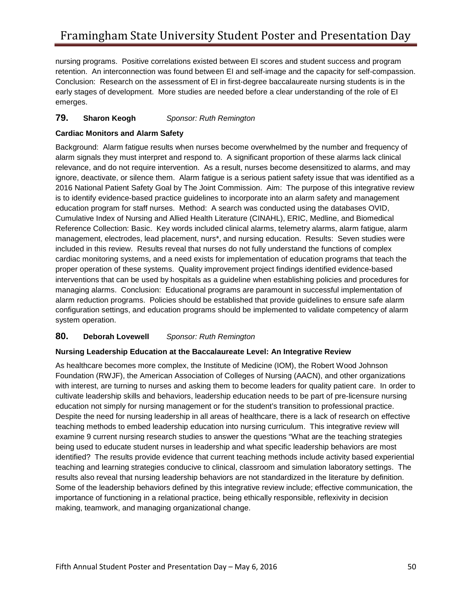retention. An interconnection was found between EI and self-image and the capacity for self-compassion. nursing programs. Positive correlations existed between EI scores and student success and program Conclusion: Research on the assessment of EI in first-degree baccalaureate nursing students is in the early stages of development. More studies are needed before a clear understanding of the role of EI emerges.

#### **Sharon Keogh 79. Sharon Keogh** *Sponsor: Ruth Remington*

#### **Cardiac Monitors and Alarm Safety**

 Background: Alarm fatigue results when nurses become overwhelmed by the number and frequency of alarm signals they must interpret and respond to. A significant proportion of these alarms lack clinical 2016 National Patient Safety Goal by The Joint Commission. Aim: The purpose of this integrative review education program for staff nurses. Method: A search was conducted using the databases OVID, management, electrodes, lead placement, nurs\*, and nursing education. Results: Seven studies were system operation. relevance, and do not require intervention. As a result, nurses become desensitized to alarms, and may ignore, deactivate, or silence them. Alarm fatigue is a serious patient safety issue that was identified as a is to identify evidence-based practice guidelines to incorporate into an alarm safety and management Cumulative Index of Nursing and Allied Health Literature (CINAHL), ERIC, Medline, and Biomedical Reference Collection: Basic. Key words included clinical alarms, telemetry alarms, alarm fatigue, alarm included in this review. Results reveal that nurses do not fully understand the functions of complex cardiac monitoring systems, and a need exists for implementation of education programs that teach the proper operation of these systems. Quality improvement project findings identified evidence-based interventions that can be used by hospitals as a guideline when establishing policies and procedures for managing alarms. Conclusion: Educational programs are paramount in successful implementation of alarm reduction programs. Policies should be established that provide guidelines to ensure safe alarm configuration settings, and education programs should be implemented to validate competency of alarm

#### **Deborah Lovewell 80. Deborah Lovewell** *Sponsor: Ruth Remington*

#### **Nursing Leadership Education at the Baccalaureate Level: An Integrative Review**

education not simply for nursing management or for the student's transition to professional practice. teaching methods to embed leadership education into nursing curriculum. This integrative review will results also reveal that nursing leadership behaviors are not standardized in the literature by definition. As healthcare becomes more complex, the Institute of Medicine (IOM), the Robert Wood Johnson Foundation (RWJF), the American Association of Colleges of Nursing (AACN), and other organizations with interest, are turning to nurses and asking them to become leaders for quality patient care. In order to cultivate leadership skills and behaviors, leadership education needs to be part of pre-licensure nursing Despite the need for nursing leadership in all areas of healthcare, there is a lack of research on effective examine 9 current nursing research studies to answer the questions "What are the teaching strategies being used to educate student nurses in leadership and what specific leadership behaviors are most identified? The results provide evidence that current teaching methods include activity based experiential teaching and learning strategies conducive to clinical, classroom and simulation laboratory settings. The Some of the leadership behaviors defined by this integrative review include; effective communication, the importance of functioning in a relational practice, being ethically responsible, reflexivity in decision making, teamwork, and managing organizational change.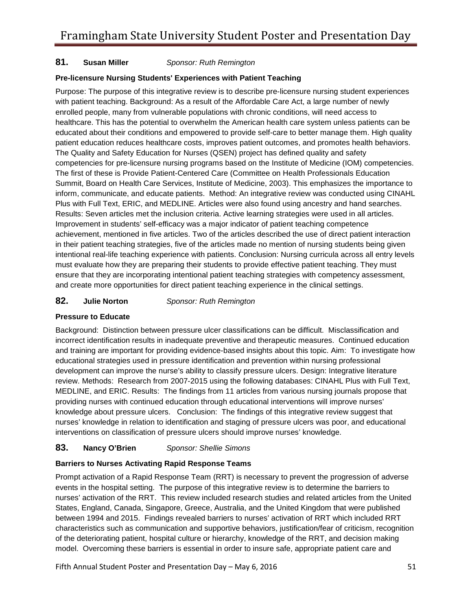#### **Susan Miller 81. Susan Miller** *Sponsor: Ruth Remington*

#### **Pre-licensure Nursing Students' Experiences with Patient Teaching**

 The Quality and Safety Education for Nurses (QSEN) project has defined quality and safety inform, communicate, and educate patients. Method: An integrative review was conducted using CINAHL Plus with Full Text, ERIC, and MEDLINE. Articles were also found using ancestry and hand searches. Plus with Full Text, ERIC, and MEDLINE. Articles were also found using ancestry and hand searches.<br>Results: Seven articles met the inclusion criteria. Active learning strategies were used in all articles. intentional real-life teaching experience with patients. Conclusion: Nursing curricula across all entry levels and create more opportunities for direct patient teaching experience in the clinical settings. Purpose: The purpose of this integrative review is to describe pre-licensure nursing student experiences with patient teaching. Background: As a result of the Affordable Care Act, a large number of newly enrolled people, many from vulnerable populations with chronic conditions, will need access to healthcare. This has the potential to overwhelm the American health care system unless patients can be educated about their conditions and empowered to provide self-care to better manage them. High quality patient education reduces healthcare costs, improves patient outcomes, and promotes health behaviors. competencies for pre-licensure nursing programs based on the Institute of Medicine (IOM) competencies. The first of these is Provide Patient-Centered Care (Committee on Health Professionals Education Summit, Board on Health Care Services, Institute of Medicine, 2003). This emphasizes the importance to Improvement in students' self-efficacy was a major indicator of patient teaching competence achievement, mentioned in five articles. Two of the articles described the use of direct patient interaction in their patient teaching strategies, five of the articles made no mention of nursing students being given must evaluate how they are preparing their students to provide effective patient teaching. They must ensure that they are incorporating intentional patient teaching strategies with competency assessment,

#### **Julie Norton 82. Julie Norton** *Sponsor: Ruth Remington*

#### **Pressure to Educate**

 providing nurses with continued education through educational interventions will improve nurses' nurses' knowledge in relation to identification and staging of pressure ulcers was poor, and educational interventions on classification of pressure ulcers should improve nurses' knowledge. Background: Distinction between pressure ulcer classifications can be difficult. Misclassification and incorrect identification results in inadequate preventive and therapeutic measures. Continued education and training are important for providing evidence-based insights about this topic. Aim: To investigate how educational strategies used in pressure identification and prevention within nursing professional development can improve the nurse's ability to classify pressure ulcers. Design: Integrative literature review. Methods: Research from 2007-2015 using the following databases: CINAHL Plus with Full Text, MEDLINE, and ERIC. Results: The findings from 11 articles from various nursing journals propose that knowledge about pressure ulcers. Conclusion: The findings of this integrative review suggest that

#### **Nancy O'Brien 83. Nancy O'Brien** *Sponsor: Shellie Simons*

#### **Barriers to Nurses Activating Rapid Response Teams**

 nurses' activation of the RRT. This review included research studies and related articles from the United States, England, Canada, Singapore, Greece, Australia, and the United Kingdom that were published Prompt activation of a Rapid Response Team (RRT) is necessary to prevent the progression of adverse events in the hospital setting. The purpose of this integrative review is to determine the barriers to between 1994 and 2015. Findings revealed barriers to nurses' activation of RRT which included RRT characteristics such as communication and supportive behaviors, justification/fear of criticism, recognition of the deteriorating patient, hospital culture or hierarchy, knowledge of the RRT, and decision making model. Overcoming these barriers is essential in order to insure safe, appropriate patient care and

Fifth Annual Student Poster and Presentation Day – May 6, 2016  $\,$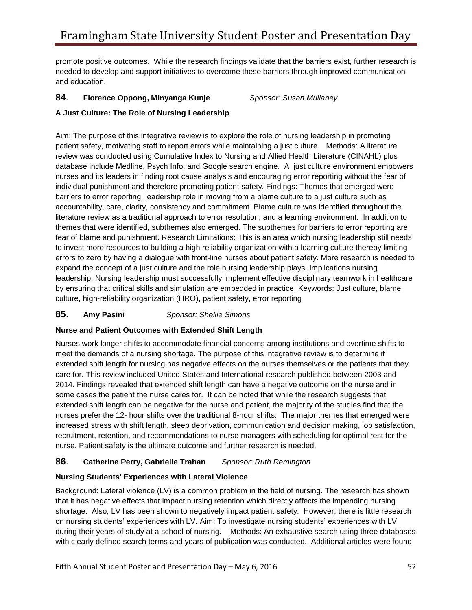promote positive outcomes. While the research findings validate that the barriers exist, further research is needed to develop and support initiatives to overcome these barriers through improved communication and education.

### **84**. **Florence Oppong, Minyanga Kunje** *Sponsor: Susan Mullaney*

### **A Just Culture: The Role of Nursing Leadership**

 database include Medline, Psych Info, and Google search engine. A just culture environment empowers Aim: The purpose of this integrative review is to explore the role of nursing leadership in promoting patient safety, motivating staff to report errors while maintaining a just culture. Methods: A literature review was conducted using Cumulative Index to Nursing and Allied Health Literature (CINAHL) plus nurses and its leaders in finding root cause analysis and encouraging error reporting without the fear of individual punishment and therefore promoting patient safety. Findings: Themes that emerged were barriers to error reporting, leadership role in moving from a blame culture to a just culture such as accountability, care, clarity, consistency and commitment. Blame culture was identified throughout the literature review as a traditional approach to error resolution, and a learning environment. In addition to themes that were identified, subthemes also emerged. The subthemes for barriers to error reporting are fear of blame and punishment. Research Limitations: This is an area which nursing leadership still needs to invest more resources to building a high reliability organization with a learning culture thereby limiting errors to zero by having a dialogue with front-line nurses about patient safety. More research is needed to expand the concept of a just culture and the role nursing leadership plays. Implications nursing leadership: Nursing leadership must successfully implement effective disciplinary teamwork in healthcare by ensuring that critical skills and simulation are embedded in practice. Keywords: Just culture, blame culture, high-reliability organization (HRO), patient safety, error reporting

#### **Amy Pasini 85**. **Amy Pasini** *Sponsor: Shellie Simons*

### **Nurse and Patient Outcomes with Extended Shift Length**

 extended shift length for nursing has negative effects on the nurses themselves or the patients that they Nurses work longer shifts to accommodate financial concerns among institutions and overtime shifts to meet the demands of a nursing shortage. The purpose of this integrative review is to determine if care for. This review included United States and International research published between 2003 and 2014. Findings revealed that extended shift length can have a negative outcome on the nurse and in some cases the patient the nurse cares for. It can be noted that while the research suggests that extended shift length can be negative for the nurse and patient, the majority of the studies find that the nurses prefer the 12- hour shifts over the traditional 8-hour shifts. The major themes that emerged were increased stress with shift length, sleep deprivation, communication and decision making, job satisfaction, recruitment, retention, and recommendations to nurse managers with scheduling for optimal rest for the nurse. Patient safety is the ultimate outcome and further research is needed.

### **86**. **Catherine Perry, Gabrielle Trahan** *Sponsor: Ruth Remington*

### **Nursing Students' Experiences with Lateral Violence**

 shortage. Also, LV has been shown to negatively impact patient safety. However, there is little research on nursing students' experiences with LV. Aim: To investigate nursing students' experiences with LV during their years of study at a school of nursing. Methods: An exhaustive search using three databases with clearly defined search terms and years of publication was conducted. Additional articles were found Background: Lateral violence (LV) is a common problem in the field of nursing. The research has shown that it has negative effects that impact nursing retention which directly affects the impending nursing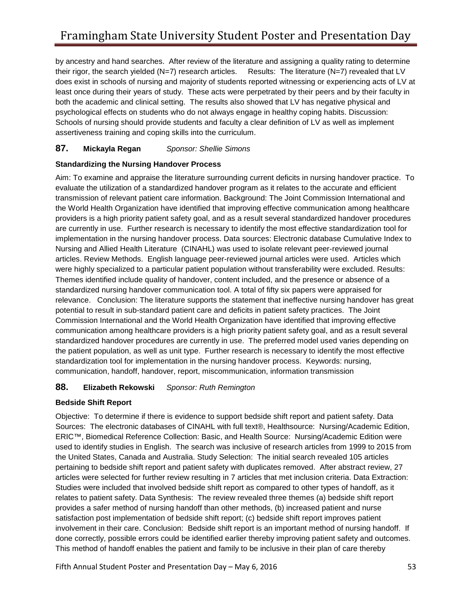by ancestry and hand searches. After review of the literature and assigning a quality rating to determine does exist in schools of nursing and majority of students reported witnessing or experiencing acts of LV at least once during their years of study. These acts were perpetrated by their peers and by their faculty in Schools of nursing should provide students and faculty a clear definition of LV as well as implement their rigor, the search yielded (N=7) research articles. Results: The literature (N=7) revealed that LV both the academic and clinical setting. The results also showed that LV has negative physical and psychological effects on students who do not always engage in healthy coping habits. Discussion: assertiveness training and coping skills into the curriculum.

#### **Mickayla Regan 87. Mickayla Regan** *Sponsor: Shellie Simons*

### **Standardizing the Nursing Handover Process**

 providers is a high priority patient safety goal, and as a result several standardized handover procedures articles. Review Methods. English language peer-reviewed journal articles were used. Articles which the patient population, as well as unit type. Further research is necessary to identify the most effective Aim: To examine and appraise the literature surrounding current deficits in nursing handover practice. To evaluate the utilization of a standardized handover program as it relates to the accurate and efficient transmission of relevant patient care information. Background: The Joint Commission International and the World Health Organization have identified that improving effective communication among healthcare are currently in use. Further research is necessary to identify the most effective standardization tool for implementation in the nursing handover process. Data sources: Electronic database Cumulative Index to Nursing and Allied Health Literature (CINAHL) was used to isolate relevant peer-reviewed journal were highly specialized to a particular patient population without transferability were excluded. Results: Themes identified include quality of handover, content included, and the presence or absence of a standardized nursing handover communication tool. A total of fifty six papers were appraised for relevance. Conclusion: The literature supports the statement that ineffective nursing handover has great potential to result in sub-standard patient care and deficits in patient safety practices. The Joint Commission International and the World Health Organization have identified that improving effective communication among healthcare providers is a high priority patient safety goal, and as a result several standardized handover procedures are currently in use. The preferred model used varies depending on standardization tool for implementation in the nursing handover process. Keywords: nursing, communication, handoff, handover, report, miscommunication, information transmission

### **88. Elizabeth Rekowski** *Sponsor: Ruth Remington*

#### **Bedside Shift Report**

 Objective: To determine if there is evidence to support bedside shift report and patient safety. Data ERIC™, Biomedical Reference Collection: Basic, and Health Source: Nursing/Academic Edition were articles were selected for further review resulting in 7 articles that met inclusion criteria. Data Extraction: satisfaction post implementation of bedside shift report; (c) bedside shift report improves patient done correctly, possible errors could be identified earlier thereby improving patient safety and outcomes. done correctly, possible errors could be identified earlier thereby improving patient safety and outcomes.<br>This method of handoff enables the patient and family to be inclusive in their plan of care thereby Sources: The electronic databases of CINAHL with full text®, Healthsource: Nursing/Academic Edition, used to identify studies in English. The search was inclusive of research articles from 1999 to 2015 from the United States, Canada and Australia. Study Selection: The initial search revealed 105 articles pertaining to bedside shift report and patient safety with duplicates removed. After abstract review, 27 Studies were included that involved bedside shift report as compared to other types of handoff, as it relates to patient safety. Data Synthesis: The review revealed three themes (a) bedside shift report provides a safer method of nursing handoff than other methods, (b) increased patient and nurse involvement in their care. Conclusion: Bedside shift report is an important method of nursing handoff. If

Fifth Annual Student Poster and Presentation Day – May 6, 2016 **53 53**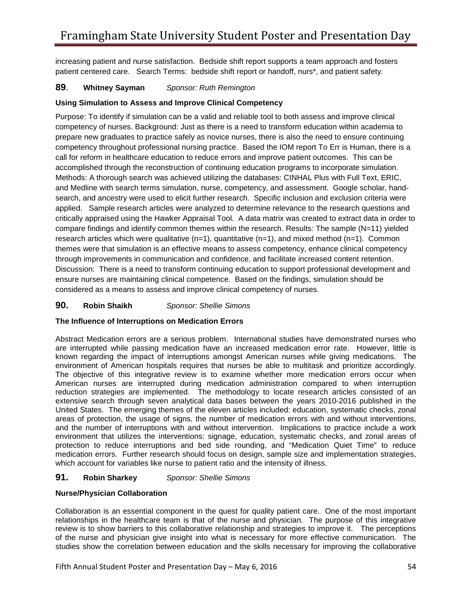patient centered care. Search Terms: bedside shift report or handoff, nurs\*, and patient safety. increasing patient and nurse satisfaction. Bedside shift report supports a team approach and fosters

#### **Whitney Sayman 89**. **Whitney Sayman** *Sponsor: Ruth Remington*

#### **Using Simulation to Assess and Improve Clinical Competency**

 competency throughout professional nursing practice. Based the IOM report To Err is Human, there is a search, and ancestry were used to elicit further research. Specific inclusion and exclusion criteria were applied. Sample research articles were analyzed to determine relevance to the research questions and critically appraised using the Hawker Appraisal Tool. A data matrix was created to extract data in order to compare findings and identify common themes within the research. Results: The sample (N=11) yielded ensure nurses are maintaining clinical competence. Based on the findings, simulation should be considered as a means to assess and improve clinical competency of nurses. Purpose: To identify if simulation can be a valid and reliable tool to both assess and improve clinical competency of nurses. Background: Just as there is a need to transform education within academia to prepare new graduates to practice safely as novice nurses, there is also the need to ensure continuing call for reform in healthcare education to reduce errors and improve patient outcomes. This can be accomplished through the reconstruction of continuing education programs to incorporate simulation. Methods: A thorough search was achieved utilizing the databases: CINHAL Plus with Full Text, ERIC, and Medline with search terms simulation, nurse, competency, and assessment. Google scholar, handresearch articles which were qualitative  $(n=1)$ , quantitative  $(n=1)$ , and mixed method  $(n=1)$ . Common themes were that simulation is an effective means to assess competency, enhance clinical competency through improvements in communication and confidence, and facilitate increased content retention. Discussion: There is a need to transform continuing education to support professional development and

#### **Robin Shaikh 90. Robin Shaikh** *Sponsor: Shellie Simons*

#### **The Influence of Interruptions on Medication Errors**

 Abstract Medication errors are a serious problem. International studies have demonstrated nurses who are interrupted while passing medication have an increased medication error rate. However, little is environment of American hospitals requires that nurses be able to multitask and prioritize accordingly. environment of American hospitals requires that nurses be able to multitask and prioritize accordingly.<br>The objective of this integrative review is to examine whether more medication errors occur when areas of protection, the usage of signs, the number of medication errors with and without interventions, and the number of interruptions with and without intervention. Implications to practice include a work protection to reduce interruptions and bed side rounding, and "Medication Quiet Time" to reduce medication errors. Further research should focus on design, sample size and implementation strategies, known regarding the impact of interruptions amongst American nurses while giving medications. The American nurses are interrupted during medication administration compared to when interruption reduction strategies are implemented. The methodology to locate research articles consisted of an extensive search through seven analytical data bases between the years 2010-2016 published in the United States. The emerging themes of the eleven articles included: education, systematic checks, zonal environment that utilizes the interventions: signage, education, systematic checks, and zonal areas of which account for variables like nurse to patient ratio and the intensity of illness.

#### **Robin Sharkey 91. Robin Sharkey** *Sponsor: Shellie Simons*

#### **Nurse/Physician Collaboration**

 Collaboration is an essential component in the quest for quality patient care. One of the most important relationships in the healthcare team is that of the nurse and physician. The purpose of this integrative review is to show barriers to this collaborative relationship and strategies to improve it. The perceptions of the nurse and physician give insight into what is necessary for more effective communication. The studies show the correlation between education and the skills necessary for improving the collaborative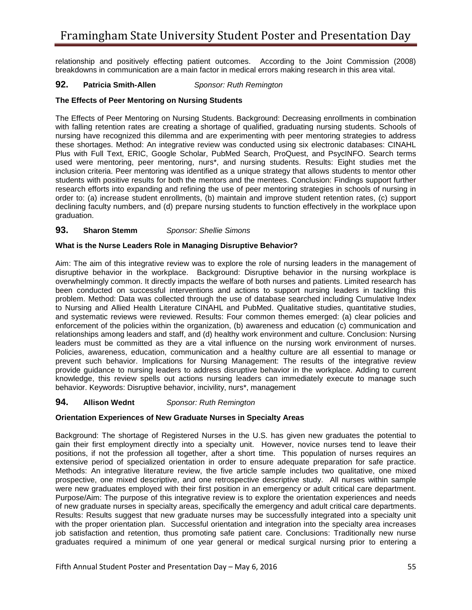relationship and positively effecting patient outcomes. According to the Joint Commission (2008) breakdowns in communication are a main factor in medical errors making research in this area vital.

#### **Patricia Smith-Allen 92. Patricia Smith-Allen** *Sponsor: Ruth Remington*

#### **The Effects of Peer Mentoring on Nursing Students**

 The Effects of Peer Mentoring on Nursing Students. Background: Decreasing enrollments in combination with falling retention rates are creating a shortage of qualified, graduating nursing students. Schools of nursing have recognized this dilemma and are experimenting with peer mentoring strategies to address these shortages. Method: An integrative review was conducted using six electronic databases: CINAHL research efforts into expanding and refining the use of peer mentoring strategies in schools of nursing in order to: (a) increase student enrollments, (b) maintain and improve student retention rates, (c) support declining faculty numbers, and (d) prepare nursing students to function effectively in the workplace upon Plus with Full Text, ERIC, Google Scholar, PubMed Search, ProQuest, and PsycINFO. Search terms used were mentoring, peer mentoring, nurs\*, and nursing students. Results: Eight studies met the inclusion criteria. Peer mentoring was identified as a unique strategy that allows students to mentor other students with positive results for both the mentors and the mentees. Conclusion: Findings support further graduation.

#### **Sharon Stemm 93. Sharon Stemm** *Sponsor: Shellie Simons*

#### **What is the Nurse Leaders Role in Managing Disruptive Behavior?**

 Aim: The aim of this integrative review was to explore the role of nursing leaders in the management of disruptive behavior in the workplace. Background: Disruptive behavior in the nursing workplace is problem. Method: Data was collected through the use of database searched including Cumulative Index and systematic reviews were reviewed. Results: Four common themes emerged: (a) clear policies and enforcement of the policies within the organization, (b) awareness and education (c) communication and leaders must be committed as they are a vital influence on the nursing work environment of nurses. overwhelmingly common. It directly impacts the welfare of both nurses and patients. Limited research has been conducted on successful interventions and actions to support nursing leaders in tackling this to Nursing and Allied Health Literature CINAHL and PubMed. Qualitative studies, quantitative studies, relationships among leaders and staff, and (d) healthy work environment and culture. Conclusion: Nursing Policies, awareness, education, communication and a healthy culture are all essential to manage or prevent such behavior. Implications for Nursing Management: The results of the integrative review provide guidance to nursing leaders to address disruptive behavior in the workplace. Adding to current knowledge, this review spells out actions nursing leaders can immediately execute to manage such behavior. Keywords: Disruptive behavior, incivility, nurs\*, management

#### **Allison Wednt 94. Allison Wednt** *Sponsor: Ruth Remington*

#### **Orientation Experiences of New Graduate Nurses in Specialty Areas**

 prospective, one mixed descriptive, and one retrospective descriptive study. All nurses within sample were new graduates employed with their first position in an emergency or adult critical care department. Purpose/Aim: The purpose of this integrative review is to explore the orientation experiences and needs of new graduate nurses in specialty areas, specifically the emergency and adult critical care departments. Results: Results suggest that new graduate nurses may be successfully integrated into a specialty unit with the proper orientation plan. Successful orientation and integration into the specialty area increases Background: The shortage of Registered Nurses in the U.S. has given new graduates the potential to gain their first employment directly into a specialty unit. However, novice nurses tend to leave their positions, if not the profession all together, after a short time. This population of nurses requires an extensive period of specialized orientation in order to ensure adequate preparation for safe practice. Methods: An integrative literature review, the five article sample includes two qualitative, one mixed job satisfaction and retention, thus promoting safe patient care. Conclusions: Traditionally new nurse graduates required a minimum of one year general or medical surgical nursing prior to entering a